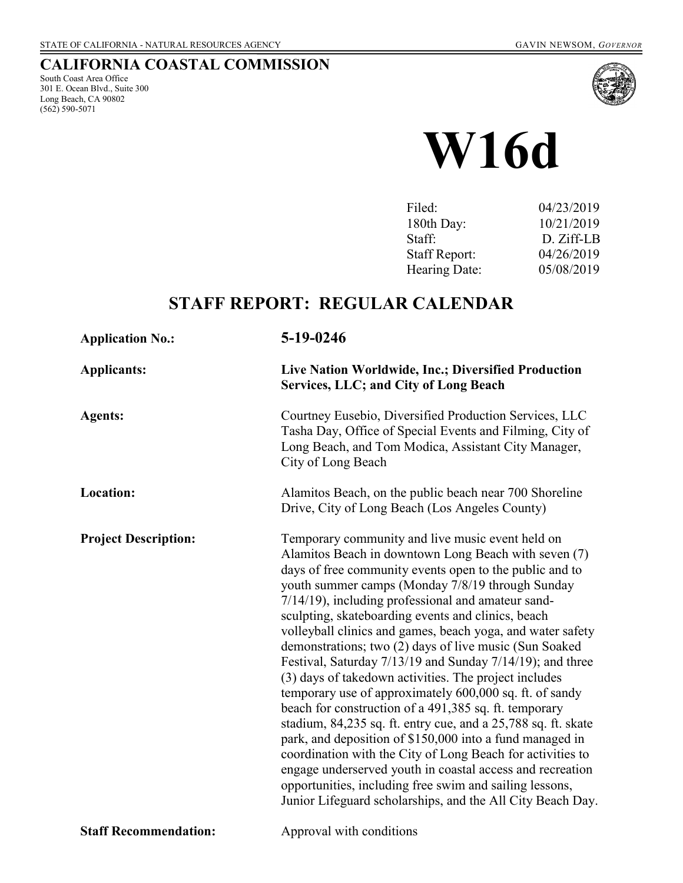## **CALIFORNIA COASTAL COMMISSION**

South Coast Area Office 301 E. Ocean Blvd., Suite 300 Long Beach, CA 90802 (562) 590-5071



# **W16d**

| Filed:               | 04/23/2019 |
|----------------------|------------|
| 180th Day:           | 10/21/2019 |
| Staff:               | D. Ziff-LB |
| <b>Staff Report:</b> | 04/26/2019 |
| Hearing Date:        | 05/08/2019 |
|                      |            |

# **STAFF REPORT: REGULAR CALENDAR**

| <b>Application No.:</b>      | 5-19-0246                                                                                                                                                                                                                                                                                                                                                                                                                                                                                                                                                                                                                                                                                                                                                                                                                                                                                                                                                                                                                                                                                 |  |
|------------------------------|-------------------------------------------------------------------------------------------------------------------------------------------------------------------------------------------------------------------------------------------------------------------------------------------------------------------------------------------------------------------------------------------------------------------------------------------------------------------------------------------------------------------------------------------------------------------------------------------------------------------------------------------------------------------------------------------------------------------------------------------------------------------------------------------------------------------------------------------------------------------------------------------------------------------------------------------------------------------------------------------------------------------------------------------------------------------------------------------|--|
| <b>Applicants:</b>           | Live Nation Worldwide, Inc.; Diversified Production<br>Services, LLC; and City of Long Beach                                                                                                                                                                                                                                                                                                                                                                                                                                                                                                                                                                                                                                                                                                                                                                                                                                                                                                                                                                                              |  |
| <b>Agents:</b>               | Courtney Eusebio, Diversified Production Services, LLC<br>Tasha Day, Office of Special Events and Filming, City of<br>Long Beach, and Tom Modica, Assistant City Manager,<br>City of Long Beach                                                                                                                                                                                                                                                                                                                                                                                                                                                                                                                                                                                                                                                                                                                                                                                                                                                                                           |  |
| Location:                    | Alamitos Beach, on the public beach near 700 Shoreline<br>Drive, City of Long Beach (Los Angeles County)                                                                                                                                                                                                                                                                                                                                                                                                                                                                                                                                                                                                                                                                                                                                                                                                                                                                                                                                                                                  |  |
| <b>Project Description:</b>  | Temporary community and live music event held on<br>Alamitos Beach in downtown Long Beach with seven (7)<br>days of free community events open to the public and to<br>youth summer camps (Monday 7/8/19 through Sunday<br>$7/14/19$ ), including professional and amateur sand-<br>sculpting, skateboarding events and clinics, beach<br>volleyball clinics and games, beach yoga, and water safety<br>demonstrations; two (2) days of live music (Sun Soaked<br>Festival, Saturday 7/13/19 and Sunday 7/14/19); and three<br>(3) days of takedown activities. The project includes<br>temporary use of approximately 600,000 sq. ft. of sandy<br>beach for construction of a 491,385 sq. ft. temporary<br>stadium, 84,235 sq. ft. entry cue, and a 25,788 sq. ft. skate<br>park, and deposition of \$150,000 into a fund managed in<br>coordination with the City of Long Beach for activities to<br>engage underserved youth in coastal access and recreation<br>opportunities, including free swim and sailing lessons,<br>Junior Lifeguard scholarships, and the All City Beach Day. |  |
| <b>Staff Recommendation:</b> | Approval with conditions                                                                                                                                                                                                                                                                                                                                                                                                                                                                                                                                                                                                                                                                                                                                                                                                                                                                                                                                                                                                                                                                  |  |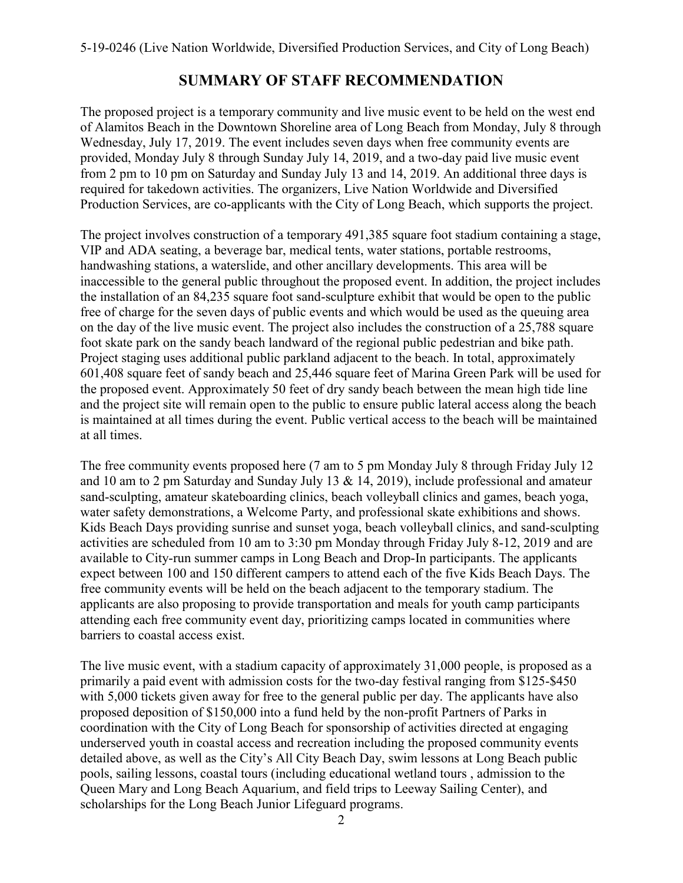## **SUMMARY OF STAFF RECOMMENDATION**

The proposed project is a temporary community and live music event to be held on the west end of Alamitos Beach in the Downtown Shoreline area of Long Beach from Monday, July 8 through Wednesday, July 17, 2019. The event includes seven days when free community events are provided, Monday July 8 through Sunday July 14, 2019, and a two-day paid live music event from 2 pm to 10 pm on Saturday and Sunday July 13 and 14, 2019. An additional three days is required for takedown activities. The organizers, Live Nation Worldwide and Diversified Production Services, are co-applicants with the City of Long Beach, which supports the project.

The project involves construction of a temporary 491,385 square foot stadium containing a stage, VIP and ADA seating, a beverage bar, medical tents, water stations, portable restrooms, handwashing stations, a waterslide, and other ancillary developments. This area will be inaccessible to the general public throughout the proposed event. In addition, the project includes the installation of an 84,235 square foot sand-sculpture exhibit that would be open to the public free of charge for the seven days of public events and which would be used as the queuing area on the day of the live music event. The project also includes the construction of a 25,788 square foot skate park on the sandy beach landward of the regional public pedestrian and bike path. Project staging uses additional public parkland adjacent to the beach. In total, approximately 601,408 square feet of sandy beach and 25,446 square feet of Marina Green Park will be used for the proposed event. Approximately 50 feet of dry sandy beach between the mean high tide line and the project site will remain open to the public to ensure public lateral access along the beach is maintained at all times during the event. Public vertical access to the beach will be maintained at all times.

The free community events proposed here (7 am to 5 pm Monday July 8 through Friday July 12 and 10 am to 2 pm Saturday and Sunday July 13 & 14, 2019), include professional and amateur sand-sculpting, amateur skateboarding clinics, beach volleyball clinics and games, beach yoga, water safety demonstrations, a Welcome Party, and professional skate exhibitions and shows. Kids Beach Days providing sunrise and sunset yoga, beach volleyball clinics, and sand-sculpting activities are scheduled from 10 am to 3:30 pm Monday through Friday July 8-12, 2019 and are available to City-run summer camps in Long Beach and Drop-In participants. The applicants expect between 100 and 150 different campers to attend each of the five Kids Beach Days. The free community events will be held on the beach adjacent to the temporary stadium. The applicants are also proposing to provide transportation and meals for youth camp participants attending each free community event day, prioritizing camps located in communities where barriers to coastal access exist.

The live music event, with a stadium capacity of approximately 31,000 people, is proposed as a primarily a paid event with admission costs for the two-day festival ranging from \$125-\$450 with 5,000 tickets given away for free to the general public per day. The applicants have also proposed deposition of \$150,000 into a fund held by the non-profit Partners of Parks in coordination with the City of Long Beach for sponsorship of activities directed at engaging underserved youth in coastal access and recreation including the proposed community events detailed above, as well as the City's All City Beach Day, swim lessons at Long Beach public pools, sailing lessons, coastal tours (including educational wetland tours , admission to the Queen Mary and Long Beach Aquarium, and field trips to Leeway Sailing Center), and scholarships for the Long Beach Junior Lifeguard programs.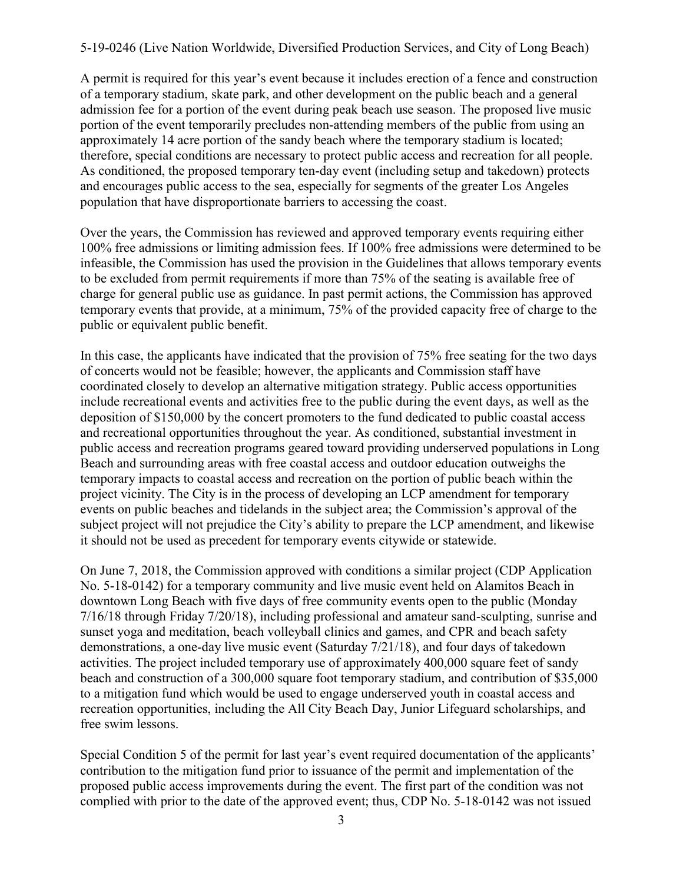A permit is required for this year's event because it includes erection of a fence and construction of a temporary stadium, skate park, and other development on the public beach and a general admission fee for a portion of the event during peak beach use season. The proposed live music portion of the event temporarily precludes non-attending members of the public from using an approximately 14 acre portion of the sandy beach where the temporary stadium is located; therefore, special conditions are necessary to protect public access and recreation for all people. As conditioned, the proposed temporary ten-day event (including setup and takedown) protects and encourages public access to the sea, especially for segments of the greater Los Angeles population that have disproportionate barriers to accessing the coast.

Over the years, the Commission has reviewed and approved temporary events requiring either 100% free admissions or limiting admission fees. If 100% free admissions were determined to be infeasible, the Commission has used the provision in the Guidelines that allows temporary events to be excluded from permit requirements if more than 75% of the seating is available free of charge for general public use as guidance. In past permit actions, the Commission has approved temporary events that provide, at a minimum, 75% of the provided capacity free of charge to the public or equivalent public benefit.

In this case, the applicants have indicated that the provision of 75% free seating for the two days of concerts would not be feasible; however, the applicants and Commission staff have coordinated closely to develop an alternative mitigation strategy. Public access opportunities include recreational events and activities free to the public during the event days, as well as the deposition of \$150,000 by the concert promoters to the fund dedicated to public coastal access and recreational opportunities throughout the year. As conditioned, substantial investment in public access and recreation programs geared toward providing underserved populations in Long Beach and surrounding areas with free coastal access and outdoor education outweighs the temporary impacts to coastal access and recreation on the portion of public beach within the project vicinity. The City is in the process of developing an LCP amendment for temporary events on public beaches and tidelands in the subject area; the Commission's approval of the subject project will not prejudice the City's ability to prepare the LCP amendment, and likewise it should not be used as precedent for temporary events citywide or statewide.

On June 7, 2018, the Commission approved with conditions a similar project (CDP Application No. 5-18-0142) for a temporary community and live music event held on Alamitos Beach in downtown Long Beach with five days of free community events open to the public (Monday 7/16/18 through Friday 7/20/18), including professional and amateur sand-sculpting, sunrise and sunset yoga and meditation, beach volleyball clinics and games, and CPR and beach safety demonstrations, a one-day live music event (Saturday 7/21/18), and four days of takedown activities. The project included temporary use of approximately 400,000 square feet of sandy beach and construction of a 300,000 square foot temporary stadium, and contribution of \$35,000 to a mitigation fund which would be used to engage underserved youth in coastal access and recreation opportunities, including the All City Beach Day, Junior Lifeguard scholarships, and free swim lessons.

Special Condition 5 of the permit for last year's event required documentation of the applicants' contribution to the mitigation fund prior to issuance of the permit and implementation of the proposed public access improvements during the event. The first part of the condition was not complied with prior to the date of the approved event; thus, CDP No. 5-18-0142 was not issued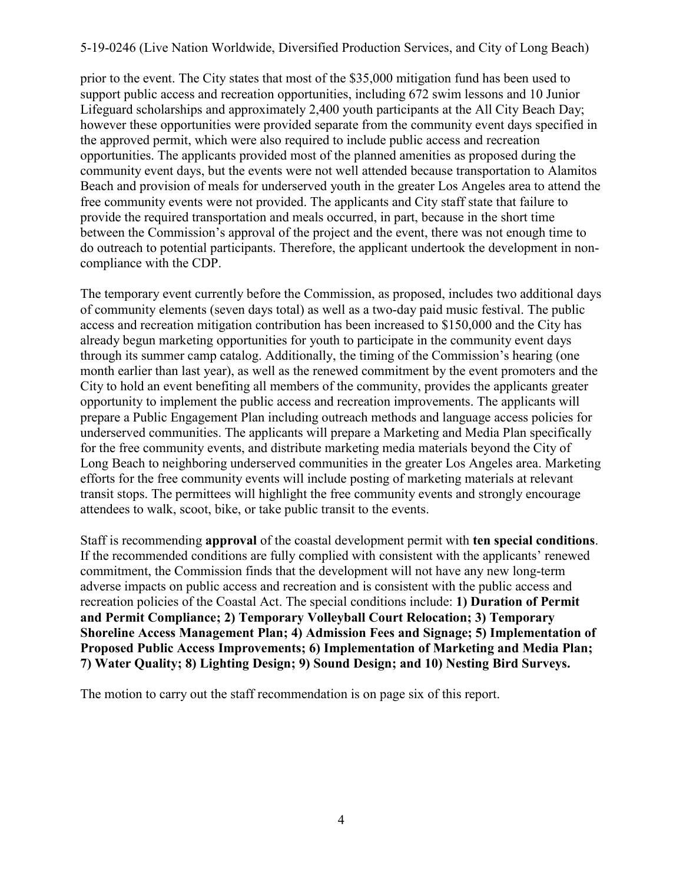prior to the event. The City states that most of the \$35,000 mitigation fund has been used to support public access and recreation opportunities, including 672 swim lessons and 10 Junior Lifeguard scholarships and approximately 2,400 youth participants at the All City Beach Day; however these opportunities were provided separate from the community event days specified in the approved permit, which were also required to include public access and recreation opportunities. The applicants provided most of the planned amenities as proposed during the community event days, but the events were not well attended because transportation to Alamitos Beach and provision of meals for underserved youth in the greater Los Angeles area to attend the free community events were not provided. The applicants and City staff state that failure to provide the required transportation and meals occurred, in part, because in the short time between the Commission's approval of the project and the event, there was not enough time to do outreach to potential participants. Therefore, the applicant undertook the development in noncompliance with the CDP.

The temporary event currently before the Commission, as proposed, includes two additional days of community elements (seven days total) as well as a two-day paid music festival. The public access and recreation mitigation contribution has been increased to \$150,000 and the City has already begun marketing opportunities for youth to participate in the community event days through its summer camp catalog. Additionally, the timing of the Commission's hearing (one month earlier than last year), as well as the renewed commitment by the event promoters and the City to hold an event benefiting all members of the community, provides the applicants greater opportunity to implement the public access and recreation improvements. The applicants will prepare a Public Engagement Plan including outreach methods and language access policies for underserved communities. The applicants will prepare a Marketing and Media Plan specifically for the free community events, and distribute marketing media materials beyond the City of Long Beach to neighboring underserved communities in the greater Los Angeles area. Marketing efforts for the free community events will include posting of marketing materials at relevant transit stops. The permittees will highlight the free community events and strongly encourage attendees to walk, scoot, bike, or take public transit to the events.

Staff is recommending **approval** of the coastal development permit with **ten special conditions**. If the recommended conditions are fully complied with consistent with the applicants' renewed commitment, the Commission finds that the development will not have any new long-term adverse impacts on public access and recreation and is consistent with the public access and recreation policies of the Coastal Act. The special conditions include: **1) Duration of Permit and Permit Compliance; 2) Temporary Volleyball Court Relocation; 3) Temporary Shoreline Access Management Plan; 4) Admission Fees and Signage; 5) Implementation of Proposed Public Access Improvements; 6) Implementation of Marketing and Media Plan; 7) Water Quality; 8) Lighting Design; 9) Sound Design; and 10) Nesting Bird Surveys.** 

The motion to carry out the staff recommendation is on page six of this report.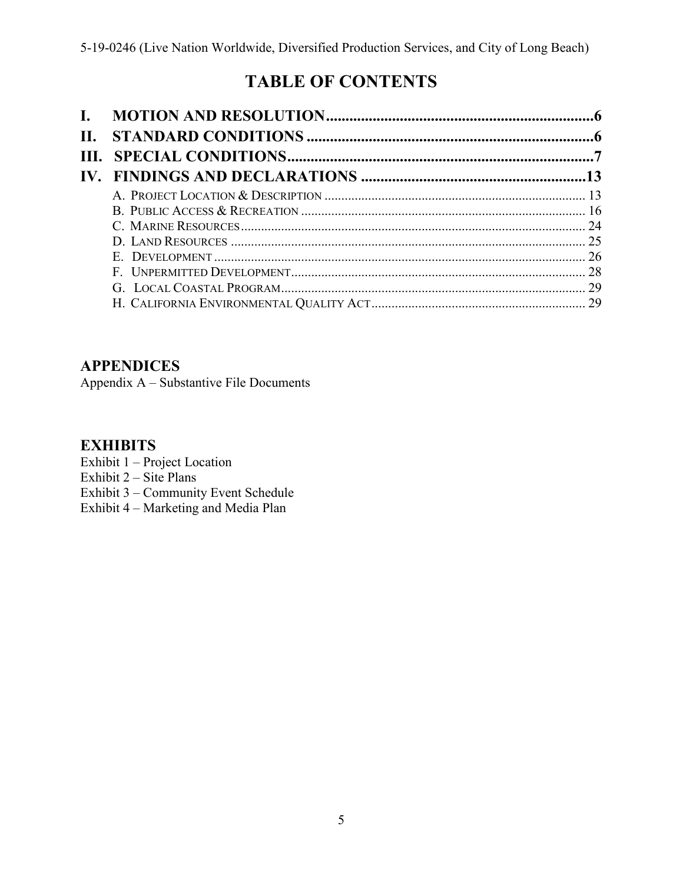# **TABLE OF CONTENTS**

| L. |  |
|----|--|
| Н. |  |
|    |  |
|    |  |
|    |  |
|    |  |
|    |  |
|    |  |
|    |  |
|    |  |
|    |  |
|    |  |

## **APPENDICES**

[Appendix A – Substantive File Documents](#page-29-0)

## **EXHIBITS**

- Exhibit 1 Project Location
- Exhibit  $2 \text{Site Plans}$
- Exhibit 3 [Community Event Schedule](https://documents.coastal.ca.gov/reports/2019/5/W16d/W16d-5-2019-exhibits.pdf)
- Exhibit 4 Marketing and Media Plan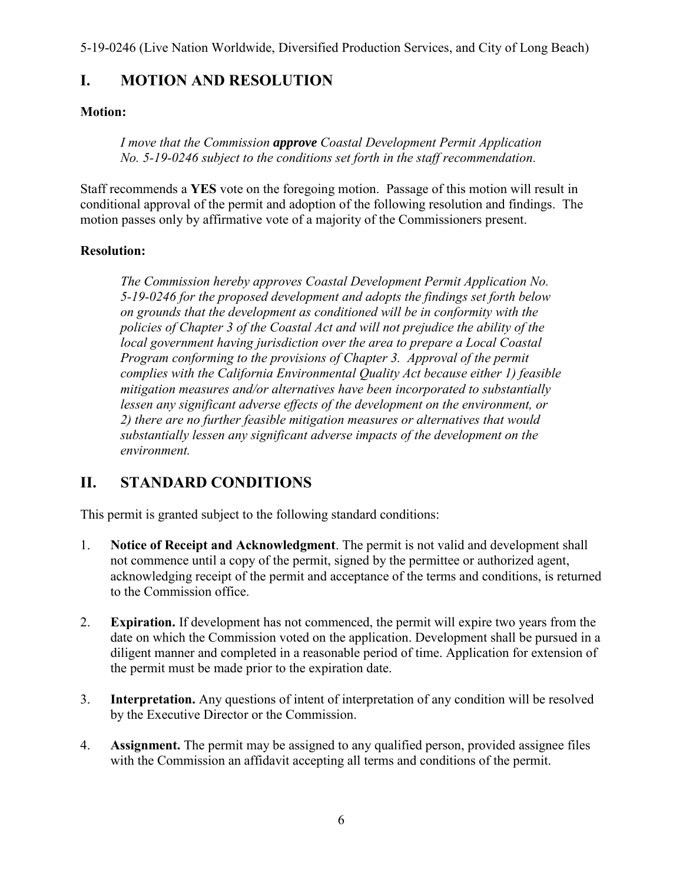## <span id="page-5-0"></span>**I. MOTION AND RESOLUTION**

#### **Motion:**

*I move that the Commission approve Coastal Development Permit Application No. 5-19-0246 subject to the conditions set forth in the staff recommendation.*

Staff recommends a **YES** vote on the foregoing motion. Passage of this motion will result in conditional approval of the permit and adoption of the following resolution and findings. The motion passes only by affirmative vote of a majority of the Commissioners present.

#### **Resolution:**

*The Commission hereby approves Coastal Development Permit Application No. 5-19-0246 for the proposed development and adopts the findings set forth below on grounds that the development as conditioned will be in conformity with the policies of Chapter 3 of the Coastal Act and will not prejudice the ability of the local government having jurisdiction over the area to prepare a Local Coastal Program conforming to the provisions of Chapter 3. Approval of the permit complies with the California Environmental Quality Act because either 1) feasible mitigation measures and/or alternatives have been incorporated to substantially*  lessen any significant adverse effects of the development on the environment, or *2) there are no further feasible mitigation measures or alternatives that would substantially lessen any significant adverse impacts of the development on the environment.* 

## <span id="page-5-1"></span>**II. STANDARD CONDITIONS**

This permit is granted subject to the following standard conditions:

- 1. **Notice of Receipt and Acknowledgment**. The permit is not valid and development shall not commence until a copy of the permit, signed by the permittee or authorized agent, acknowledging receipt of the permit and acceptance of the terms and conditions, is returned to the Commission office.
- 2. **Expiration.** If development has not commenced, the permit will expire two years from the date on which the Commission voted on the application. Development shall be pursued in a diligent manner and completed in a reasonable period of time. Application for extension of the permit must be made prior to the expiration date.
- 3. **Interpretation.** Any questions of intent of interpretation of any condition will be resolved by the Executive Director or the Commission.
- 4. **Assignment.** The permit may be assigned to any qualified person, provided assignee files with the Commission an affidavit accepting all terms and conditions of the permit.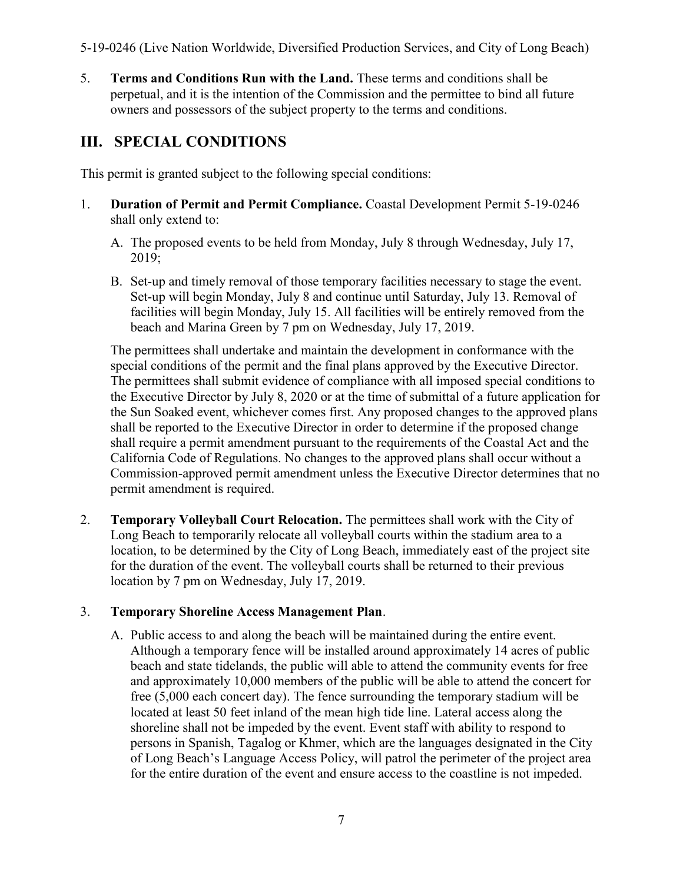<span id="page-6-1"></span>5. **Terms and Conditions Run with the Land.** These terms and conditions shall be perpetual, and it is the intention of the Commission and the permittee to bind all future owners and possessors of the subject property to the terms and conditions.

## <span id="page-6-0"></span>**III. SPECIAL CONDITIONS**

This permit is granted subject to the following special conditions:

- 1. **Duration of Permit and Permit Compliance.** Coastal Development Permit 5-19-0246 shall only extend to:
	- A. The proposed events to be held from Monday, July 8 through Wednesday, July 17, 2019;
	- B. Set-up and timely removal of those temporary facilities necessary to stage the event. Set-up will begin Monday, July 8 and continue until Saturday, July 13. Removal of facilities will begin Monday, July 15. All facilities will be entirely removed from the beach and Marina Green by 7 pm on Wednesday, July 17, 2019.

The permittees shall undertake and maintain the development in conformance with the special conditions of the permit and the final plans approved by the Executive Director. The permittees shall submit evidence of compliance with all imposed special conditions to the Executive Director by July 8, 2020 or at the time of submittal of a future application for the Sun Soaked event, whichever comes first. Any proposed changes to the approved plans shall be reported to the Executive Director in order to determine if the proposed change shall require a permit amendment pursuant to the requirements of the Coastal Act and the California Code of Regulations. No changes to the approved plans shall occur without a Commission-approved permit amendment unless the Executive Director determines that no permit amendment is required.

2. **Temporary Volleyball Court Relocation.** The permittees shall work with the City of Long Beach to temporarily relocate all volleyball courts within the stadium area to a location, to be determined by the City of Long Beach, immediately east of the project site for the duration of the event. The volleyball courts shall be returned to their previous location by 7 pm on Wednesday, July 17, 2019.

## 3. **Temporary Shoreline Access Management Plan**.

A. Public access to and along the beach will be maintained during the entire event. Although a temporary fence will be installed around approximately 14 acres of public beach and state tidelands, the public will able to attend the community events for free and approximately 10,000 members of the public will be able to attend the concert for free (5,000 each concert day). The fence surrounding the temporary stadium will be located at least 50 feet inland of the mean high tide line. Lateral access along the shoreline shall not be impeded by the event. Event staff with ability to respond to persons in Spanish, Tagalog or Khmer, which are the languages designated in the City of Long Beach's Language Access Policy, will patrol the perimeter of the project area for the entire duration of the event and ensure access to the coastline is not impeded.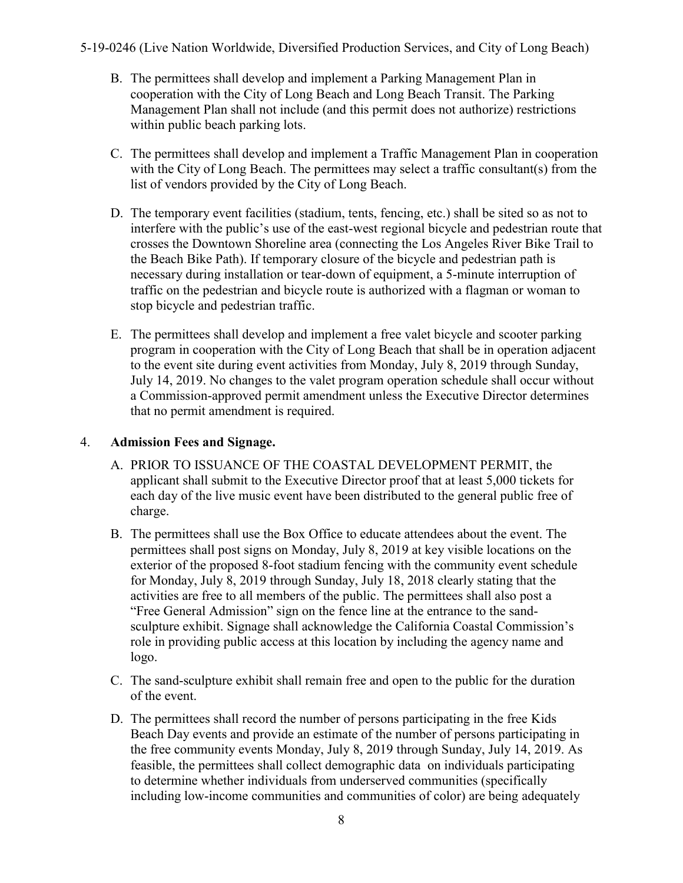- B. The permittees shall develop and implement a Parking Management Plan in cooperation with the City of Long Beach and Long Beach Transit. The Parking Management Plan shall not include (and this permit does not authorize) restrictions within public beach parking lots.
- C. The permittees shall develop and implement a Traffic Management Plan in cooperation with the City of Long Beach. The permittees may select a traffic consultant(s) from the list of vendors provided by the City of Long Beach.
- D. The temporary event facilities (stadium, tents, fencing, etc.) shall be sited so as not to interfere with the public's use of the east-west regional bicycle and pedestrian route that crosses the Downtown Shoreline area (connecting the Los Angeles River Bike Trail to the Beach Bike Path). If temporary closure of the bicycle and pedestrian path is necessary during installation or tear-down of equipment, a 5-minute interruption of traffic on the pedestrian and bicycle route is authorized with a flagman or woman to stop bicycle and pedestrian traffic.
- E. The permittees shall develop and implement a free valet bicycle and scooter parking program in cooperation with the City of Long Beach that shall be in operation adjacent to the event site during event activities from Monday, July 8, 2019 through Sunday, July 14, 2019. No changes to the valet program operation schedule shall occur without a Commission-approved permit amendment unless the Executive Director determines that no permit amendment is required.

#### 4. **Admission Fees and Signage.**

- A. PRIOR TO ISSUANCE OF THE COASTAL DEVELOPMENT PERMIT, the applicant shall submit to the Executive Director proof that at least 5,000 tickets for each day of the live music event have been distributed to the general public free of charge.
- B. The permittees shall use the Box Office to educate attendees about the event. The permittees shall post signs on Monday, July 8, 2019 at key visible locations on the exterior of the proposed 8-foot stadium fencing with the community event schedule for Monday, July 8, 2019 through Sunday, July 18, 2018 clearly stating that the activities are free to all members of the public. The permittees shall also post a "Free General Admission" sign on the fence line at the entrance to the sandsculpture exhibit. Signage shall acknowledge the California Coastal Commission's role in providing public access at this location by including the agency name and logo.
- C. The sand-sculpture exhibit shall remain free and open to the public for the duration of the event.
- D. The permittees shall record the number of persons participating in the free Kids Beach Day events and provide an estimate of the number of persons participating in the free community events Monday, July 8, 2019 through Sunday, July 14, 2019. As feasible, the permittees shall collect demographic data on individuals participating to determine whether individuals from underserved communities (specifically including low-income communities and communities of color) are being adequately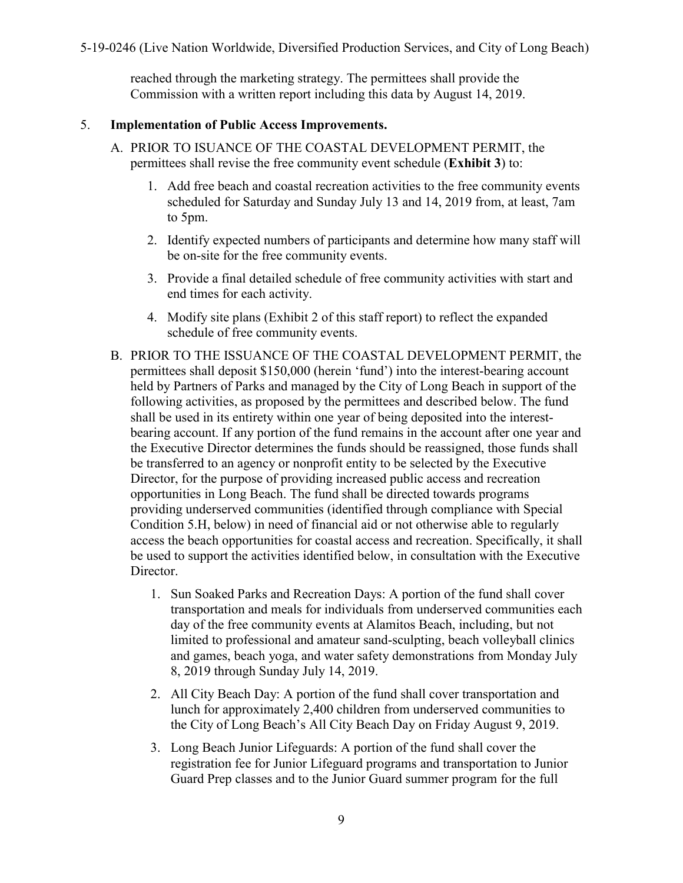reached through the marketing strategy. The permittees shall provide the Commission with a written report including this data by August 14, 2019.

#### <span id="page-8-0"></span>5. **Implementation of Public Access Improvements.**

- A. PRIOR TO ISUANCE OF THE COASTAL DEVELOPMENT PERMIT, the permittees shall revise the free community event schedule (**[Exhibit 3](https://documents.coastal.ca.gov/reports/2019/5/W16d/W16d-5-2019-exhibits.pdf)**) to:
	- 1. Add free beach and coastal recreation activities to the free community events scheduled for Saturday and Sunday July 13 and 14, 2019 from, at least, 7am to 5pm.
	- 2. Identify expected numbers of participants and determine how many staff will be on-site for the free community events.
	- 3. Provide a final detailed schedule of free community activities with start and end times for each activity.
	- 4. Modify site plans ([Exhibit 2](https://documents.coastal.ca.gov/reports/2019/5/W16d/W16d-5-2019-exhibits.pdf) of this staff report) to reflect the expanded schedule of free community events.
- B. PRIOR TO THE ISSUANCE OF THE COASTAL DEVELOPMENT PERMIT, the permittees shall deposit \$150,000 (herein 'fund') into the interest-bearing account held by Partners of Parks and managed by the City of Long Beach in support of the following activities, as proposed by the permittees and described below. The fund shall be used in its entirety within one year of being deposited into the interestbearing account. If any portion of the fund remains in the account after one year and the Executive Director determines the funds should be reassigned, those funds shall be transferred to an agency or nonprofit entity to be selected by the Executive Director, for the purpose of providing increased public access and recreation opportunities in Long Beach. The fund shall be directed towards programs providing underserved communities (identified through compliance with Special Condition 5.H, below) in need of financial aid or not otherwise able to regularly access the beach opportunities for coastal access and recreation. Specifically, it shall be used to support the activities identified below, in consultation with the Executive Director.
	- 1. Sun Soaked Parks and Recreation Days: A portion of the fund shall cover transportation and meals for individuals from underserved communities each day of the free community events at Alamitos Beach, including, but not limited to professional and amateur sand-sculpting, beach volleyball clinics and games, beach yoga, and water safety demonstrations from Monday July 8, 2019 through Sunday July 14, 2019.
	- 2. All City Beach Day: A portion of the fund shall cover transportation and lunch for approximately 2,400 children from underserved communities to the City of Long Beach's All City Beach Day on Friday August 9, 2019.
	- 3. Long Beach Junior Lifeguards: A portion of the fund shall cover the registration fee for Junior Lifeguard programs and transportation to Junior Guard Prep classes and to the Junior Guard summer program for the full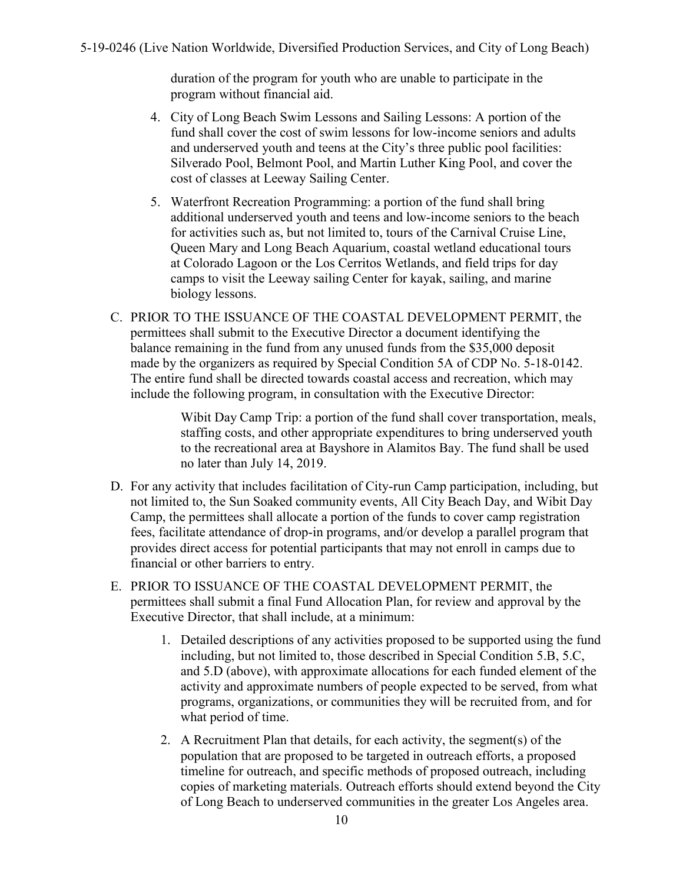<span id="page-9-0"></span>duration of the program for youth who are unable to participate in the program without financial aid.

- 4. City of Long Beach Swim Lessons and Sailing Lessons: A portion of the fund shall cover the cost of swim lessons for low-income seniors and adults and underserved youth and teens at the City's three public pool facilities: Silverado Pool, Belmont Pool, and Martin Luther King Pool, and cover the cost of classes at Leeway Sailing Center.
- 5. Waterfront Recreation Programming: a portion of the fund shall bring additional underserved youth and teens and low-income seniors to the beach for activities such as, but not limited to, tours of the Carnival Cruise Line, Queen Mary and Long Beach Aquarium, coastal wetland educational tours at Colorado Lagoon or the Los Cerritos Wetlands, and field trips for day camps to visit the Leeway sailing Center for kayak, sailing, and marine biology lessons.
- C. PRIOR TO THE ISSUANCE OF THE COASTAL DEVELOPMENT PERMIT, the permittees shall submit to the Executive Director a document identifying the balance remaining in the fund from any unused funds from the \$35,000 deposit made by the organizers as required by Special Condition 5A of CDP No. 5-18-0142. The entire fund shall be directed towards coastal access and recreation, which may include the following program, in consultation with the Executive Director:

Wibit Day Camp Trip: a portion of the fund shall cover transportation, meals, staffing costs, and other appropriate expenditures to bring underserved youth to the recreational area at Bayshore in Alamitos Bay. The fund shall be used no later than July 14, 2019.

- D. For any activity that includes facilitation of City-run Camp participation, including, but not limited to, the Sun Soaked community events, All City Beach Day, and Wibit Day Camp, the permittees shall allocate a portion of the funds to cover camp registration fees, facilitate attendance of drop-in programs, and/or develop a parallel program that provides direct access for potential participants that may not enroll in camps due to financial or other barriers to entry.
- E. PRIOR TO ISSUANCE OF THE COASTAL DEVELOPMENT PERMIT, the permittees shall submit a final Fund Allocation Plan, for review and approval by the Executive Director, that shall include, at a minimum:
	- 1. Detailed descriptions of any activities proposed to be supported using the fund including, but not limited to, those described in Special Condition 5.B, 5.C, and 5.D (above), with approximate allocations for each funded element of the activity and approximate numbers of people expected to be served, from what programs, organizations, or communities they will be recruited from, and for what period of time.
	- 2. A Recruitment Plan that details, for each activity, the segment(s) of the population that are proposed to be targeted in outreach efforts, a proposed timeline for outreach, and specific methods of proposed outreach, including copies of marketing materials. Outreach efforts should extend beyond the City of Long Beach to underserved communities in the greater Los Angeles area.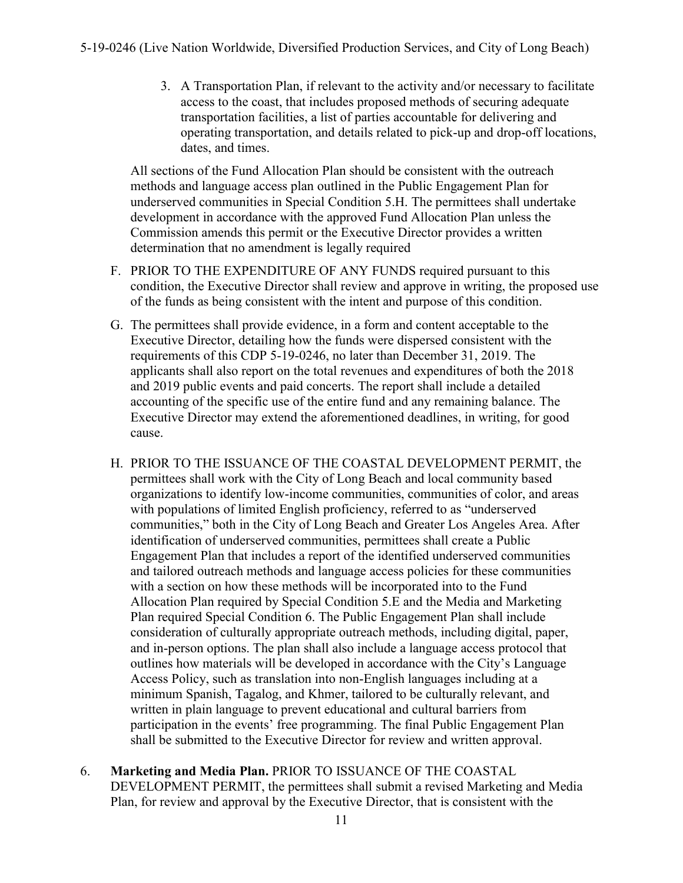3. A Transportation Plan, if relevant to the activity and/or necessary to facilitate access to the coast, that includes proposed methods of securing adequate transportation facilities, a list of parties accountable for delivering and operating transportation, and details related to pick-up and drop-off locations, dates, and times.

All sections of the Fund Allocation Plan should be consistent with the outreach methods and language access plan outlined in the Public Engagement Plan for underserved communities in Special Condition 5.H. The permittees shall undertake development in accordance with the approved Fund Allocation Plan unless the Commission amends this permit or the Executive Director provides a written determination that no amendment is legally required

- F. PRIOR TO THE EXPENDITURE OF ANY FUNDS required pursuant to this condition, the Executive Director shall review and approve in writing, the proposed use of the funds as being consistent with the intent and purpose of this condition.
- G. The permittees shall provide evidence, in a form and content acceptable to the Executive Director, detailing how the funds were dispersed consistent with the requirements of this CDP 5-19-0246, no later than December 31, 2019. The applicants shall also report on the total revenues and expenditures of both the 2018 and 2019 public events and paid concerts. The report shall include a detailed accounting of the specific use of the entire fund and any remaining balance. The Executive Director may extend the aforementioned deadlines, in writing, for good cause.
- H. PRIOR TO THE ISSUANCE OF THE COASTAL DEVELOPMENT PERMIT, the permittees shall work with the City of Long Beach and local community based organizations to identify low-income communities, communities of color, and areas with populations of limited English proficiency, referred to as "underserved communities," both in the City of Long Beach and Greater Los Angeles Area. After identification of underserved communities, permittees shall create a Public Engagement Plan that includes a report of the identified underserved communities and tailored outreach methods and language access policies for these communities with a section on how these methods will be incorporated into to the Fund Allocation Plan required by Special Condition 5.E and the Media and Marketing Plan required Special Condition 6. The Public Engagement Plan shall include consideration of culturally appropriate outreach methods, including digital, paper, and in-person options. The plan shall also include a language access protocol that outlines how materials will be developed in accordance with the City's Language Access Policy, such as translation into non-English languages including at a minimum Spanish, Tagalog, and Khmer, tailored to be culturally relevant, and written in plain language to prevent educational and cultural barriers from participation in the events' free programming. The final Public Engagement Plan shall be submitted to the Executive Director for review and written approval.
- 6. **Marketing and Media Plan.** PRIOR TO ISSUANCE OF THE COASTAL DEVELOPMENT PERMIT, the permittees shall submit a revised Marketing and Media Plan, for review and approval by the Executive Director, that is consistent with the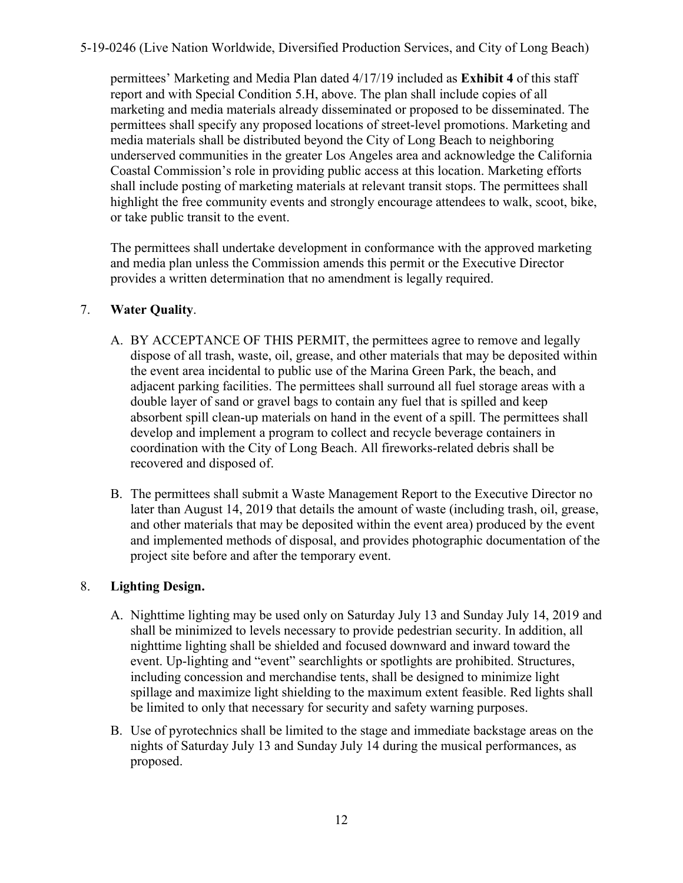<span id="page-11-0"></span>permittees' Marketing and Media Plan dated 4/17/19 included as **[Exhibit 4](https://documents.coastal.ca.gov/reports/2019/5/W16d/W16d-5-2019-exhibits.pdf)** of this staff report and with Special Condition 5.H, above. The plan shall include copies of all marketing and media materials already disseminated or proposed to be disseminated. The permittees shall specify any proposed locations of street-level promotions. Marketing and media materials shall be distributed beyond the City of Long Beach to neighboring underserved communities in the greater Los Angeles area and acknowledge the California Coastal Commission's role in providing public access at this location. Marketing efforts shall include posting of marketing materials at relevant transit stops. The permittees shall highlight the free community events and strongly encourage attendees to walk, scoot, bike, or take public transit to the event.

 The permittees shall undertake development in conformance with the approved marketing and media plan unless the Commission amends this permit or the Executive Director provides a written determination that no amendment is legally required.

#### 7. **Water Quality**.

- A. BY ACCEPTANCE OF THIS PERMIT, the permittees agree to remove and legally dispose of all trash, waste, oil, grease, and other materials that may be deposited within the event area incidental to public use of the Marina Green Park, the beach, and adjacent parking facilities. The permittees shall surround all fuel storage areas with a double layer of sand or gravel bags to contain any fuel that is spilled and keep absorbent spill clean-up materials on hand in the event of a spill. The permittees shall develop and implement a program to collect and recycle beverage containers in coordination with the City of Long Beach. All fireworks-related debris shall be recovered and disposed of.
- B. The permittees shall submit a Waste Management Report to the Executive Director no later than August 14, 2019 that details the amount of waste (including trash, oil, grease, and other materials that may be deposited within the event area) produced by the event and implemented methods of disposal, and provides photographic documentation of the project site before and after the temporary event.

#### 8. **Lighting Design.**

- A. Nighttime lighting may be used only on Saturday July 13 and Sunday July 14, 2019 and shall be minimized to levels necessary to provide pedestrian security. In addition, all nighttime lighting shall be shielded and focused downward and inward toward the event. Up-lighting and "event" searchlights or spotlights are prohibited. Structures, including concession and merchandise tents, shall be designed to minimize light spillage and maximize light shielding to the maximum extent feasible. Red lights shall be limited to only that necessary for security and safety warning purposes.
- B. Use of pyrotechnics shall be limited to the stage and immediate backstage areas on the nights of Saturday July 13 and Sunday July 14 during the musical performances, as proposed.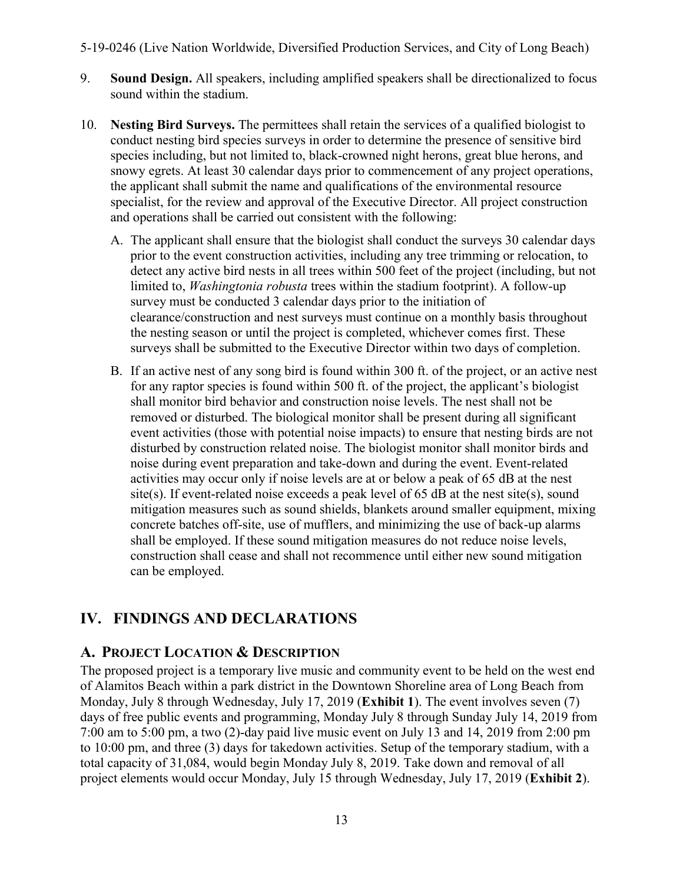- <span id="page-12-2"></span>9. **Sound Design.** All speakers, including amplified speakers shall be directionalized to focus sound within the stadium.
- 10. **Nesting Bird Surveys.** The permittees shall retain the services of a qualified biologist to conduct nesting bird species surveys in order to determine the presence of sensitive bird species including, but not limited to, black-crowned night herons, great blue herons, and snowy egrets. At least 30 calendar days prior to commencement of any project operations, the applicant shall submit the name and qualifications of the environmental resource specialist, for the review and approval of the Executive Director. All project construction and operations shall be carried out consistent with the following:
	- A. The applicant shall ensure that the biologist shall conduct the surveys 30 calendar days prior to the event construction activities, including any tree trimming or relocation, to detect any active bird nests in all trees within 500 feet of the project (including, but not limited to, *Washingtonia robusta* trees within the stadium footprint). A follow-up survey must be conducted 3 calendar days prior to the initiation of clearance/construction and nest surveys must continue on a monthly basis throughout the nesting season or until the project is completed, whichever comes first. These surveys shall be submitted to the Executive Director within two days of completion.
	- B. If an active nest of any song bird is found within 300 ft. of the project, or an active nest for any raptor species is found within 500 ft. of the project, the applicant's biologist shall monitor bird behavior and construction noise levels. The nest shall not be removed or disturbed. The biological monitor shall be present during all significant event activities (those with potential noise impacts) to ensure that nesting birds are not disturbed by construction related noise. The biologist monitor shall monitor birds and noise during event preparation and take-down and during the event. Event-related activities may occur only if noise levels are at or below a peak of 65 dB at the nest site(s). If event-related noise exceeds a peak level of 65 dB at the nest site(s), sound mitigation measures such as sound shields, blankets around smaller equipment, mixing concrete batches off-site, use of mufflers, and minimizing the use of back-up alarms shall be employed. If these sound mitigation measures do not reduce noise levels, construction shall cease and shall not recommence until either new sound mitigation can be employed.

## <span id="page-12-0"></span>**IV. FINDINGS AND DECLARATIONS**

## <span id="page-12-1"></span>**A. PROJECT LOCATION & DESCRIPTION**

The proposed project is a temporary live music and community event to be held on the west end of Alamitos Beach within a park district in the Downtown Shoreline area of Long Beach from Monday, July 8 through Wednesday, July 17, 2019 (**[Exhibit 1](https://documents.coastal.ca.gov/reports/2018/6/th10b/th10b-6-2018-exhibits.pdf)**). The event involves seven (7) days of free public events and programming, Monday July 8 through Sunday July 14, 2019 from 7:00 am to 5:00 pm, a two (2)-day paid live music event on July 13 and 14, 2019 from 2:00 pm to 10:00 pm, and three (3) days for takedown activities. Setup of the temporary stadium, with a total capacity of 31,084, would begin Monday July 8, 2019. Take down and removal of all project elements would occur Monday, July 15 through Wednesday, July 17, 2019 (**[Exhibit 2](https://documents.coastal.ca.gov/reports/2018/6/th10b/th10b-6-2018-exhibits.pdf)**).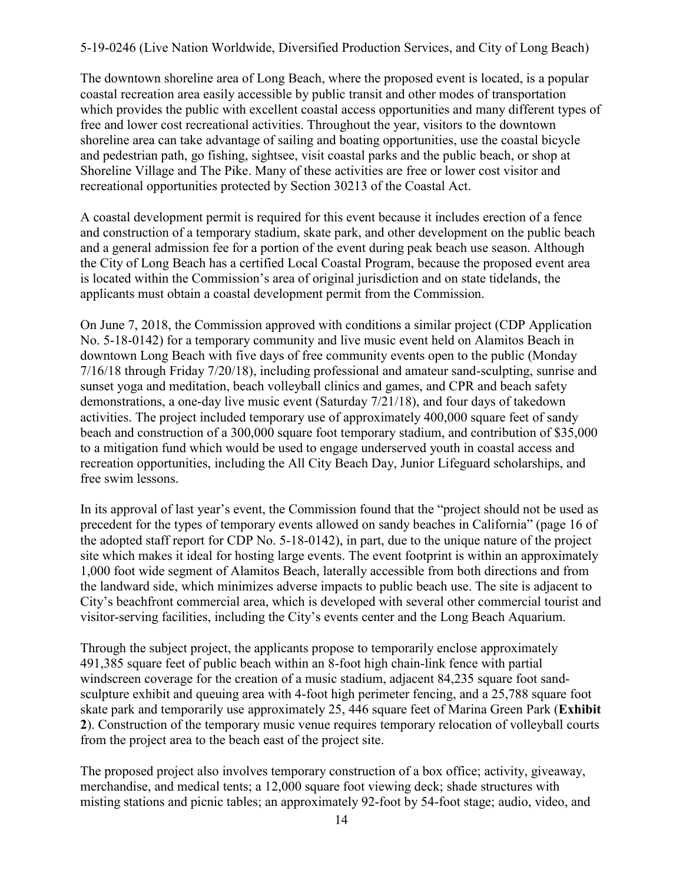The downtown shoreline area of Long Beach, where the proposed event is located, is a popular coastal recreation area easily accessible by public transit and other modes of transportation which provides the public with excellent coastal access opportunities and many different types of free and lower cost recreational activities. Throughout the year, visitors to the downtown shoreline area can take advantage of sailing and boating opportunities, use the coastal bicycle and pedestrian path, go fishing, sightsee, visit coastal parks and the public beach, or shop at Shoreline Village and The Pike. Many of these activities are free or lower cost visitor and recreational opportunities protected by Section 30213 of the Coastal Act.

A coastal development permit is required for this event because it includes erection of a fence and construction of a temporary stadium, skate park, and other development on the public beach and a general admission fee for a portion of the event during peak beach use season. Although the City of Long Beach has a certified Local Coastal Program, because the proposed event area is located within the Commission's area of original jurisdiction and on state tidelands, the applicants must obtain a coastal development permit from the Commission.

On June 7, 2018, the Commission approved with conditions a similar project (CDP Application No. 5-18-0142) for a temporary community and live music event held on Alamitos Beach in downtown Long Beach with five days of free community events open to the public (Monday 7/16/18 through Friday 7/20/18), including professional and amateur sand-sculpting, sunrise and sunset yoga and meditation, beach volleyball clinics and games, and CPR and beach safety demonstrations, a one-day live music event (Saturday 7/21/18), and four days of takedown activities. The project included temporary use of approximately 400,000 square feet of sandy beach and construction of a 300,000 square foot temporary stadium, and contribution of \$35,000 to a mitigation fund which would be used to engage underserved youth in coastal access and recreation opportunities, including the All City Beach Day, Junior Lifeguard scholarships, and free swim lessons.

In its approval of last year's event, the Commission found that the "project should not be used as precedent for the types of temporary events allowed on sandy beaches in California" (page 16 of the adopted staff report for CDP No. 5-18-0142), in part, due to the unique nature of the project site which makes it ideal for hosting large events. The event footprint is within an approximately 1,000 foot wide segment of Alamitos Beach, laterally accessible from both directions and from the landward side, which minimizes adverse impacts to public beach use. The site is adjacent to City's beachfront commercial area, which is developed with several other commercial tourist and visitor-serving facilities, including the City's events center and the Long Beach Aquarium.

Through the subject project, the applicants propose to temporarily enclose approximately 491,385 square feet of public beach within an 8-foot high chain-link fence with partial windscreen coverage for the creation of a music stadium, adjacent 84,235 square foot sandsculpture exhibit and queuing area with 4-foot high perimeter fencing, and a 25,788 square foot skate park and temporarily use approximately 25, 446 square feet of Marina Green Park (**Exhibit 2**[\). Construction of the temporary music venue requires temporary relocation of volleyball courts](https://documents.coastal.ca.gov/reports/2019/5/W16d/W16d-5-2019-exhibits.pdf)  from the project area to the beach east of the project site.

The proposed project also involves temporary construction of a box office; activity, giveaway, merchandise, and medical tents; a 12,000 square foot viewing deck; shade structures with misting stations and picnic tables; an approximately 92-foot by 54-foot stage; audio, video, and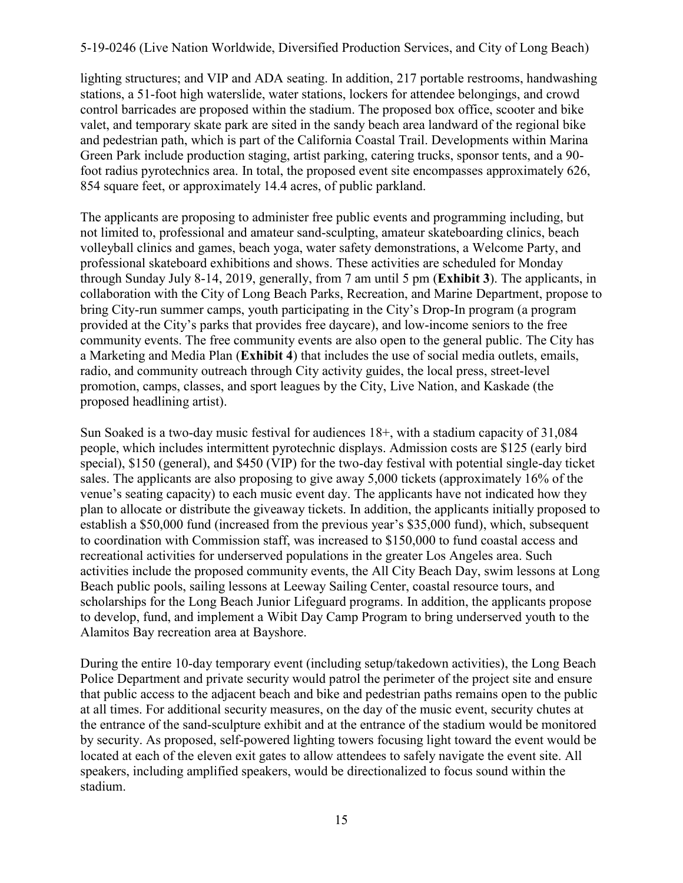lighting structures; and VIP and ADA seating. In addition, 217 portable restrooms, handwashing stations, a 51-foot high waterslide, water stations, lockers for attendee belongings, and crowd control barricades are proposed within the stadium. The proposed box office, scooter and bike valet, and temporary skate park are sited in the sandy beach area landward of the regional bike and pedestrian path, which is part of the California Coastal Trail. Developments within Marina Green Park include production staging, artist parking, catering trucks, sponsor tents, and a 90 foot radius pyrotechnics area. In total, the proposed event site encompasses approximately 626, 854 square feet, or approximately 14.4 acres, of public parkland.

The applicants are proposing to administer free public events and programming including, but not limited to, professional and amateur sand-sculpting, amateur skateboarding clinics, beach volleyball clinics and games, beach yoga, water safety demonstrations, a Welcome Party, and professional skateboard exhibitions and shows. These activities are scheduled for Monday through Sunday July 8-14, 2019, generally, from 7 am until 5 pm (**[Exhibit 3](https://documents.coastal.ca.gov/reports/2019/5/W16d/W16d-5-2019-exhibits.pdf)**). The applicants, in collaboration with the City of Long Beach Parks, Recreation, and Marine Department, propose to bring City-run summer camps, youth participating in the City's Drop-In program (a program provided at the City's parks that provides free daycare), and low-income seniors to the free community events. The free community events are also open to the general public. The City has a Marketing and Media Plan (**[Exhibit 4](https://documents.coastal.ca.gov/reports/2019/5/W16d/W16d-5-2019-exhibits.pdf)**) that includes the use of social media outlets, emails, radio, and community outreach through City activity guides, the local press, street-level promotion, camps, classes, and sport leagues by the City, Live Nation, and Kaskade (the proposed headlining artist).

Sun Soaked is a two-day music festival for audiences 18+, with a stadium capacity of 31,084 people, which includes intermittent pyrotechnic displays. Admission costs are \$125 (early bird special), \$150 (general), and \$450 (VIP) for the two-day festival with potential single-day ticket sales. The applicants are also proposing to give away 5,000 tickets (approximately 16% of the venue's seating capacity) to each music event day. The applicants have not indicated how they plan to allocate or distribute the giveaway tickets. In addition, the applicants initially proposed to establish a \$50,000 fund (increased from the previous year's \$35,000 fund), which, subsequent to coordination with Commission staff, was increased to \$150,000 to fund coastal access and recreational activities for underserved populations in the greater Los Angeles area. Such activities include the proposed community events, the All City Beach Day, swim lessons at Long Beach public pools, sailing lessons at Leeway Sailing Center, coastal resource tours, and scholarships for the Long Beach Junior Lifeguard programs. In addition, the applicants propose to develop, fund, and implement a Wibit Day Camp Program to bring underserved youth to the Alamitos Bay recreation area at Bayshore.

During the entire 10-day temporary event (including setup/takedown activities), the Long Beach Police Department and private security would patrol the perimeter of the project site and ensure that public access to the adjacent beach and bike and pedestrian paths remains open to the public at all times. For additional security measures, on the day of the music event, security chutes at the entrance of the sand-sculpture exhibit and at the entrance of the stadium would be monitored by security. As proposed, self-powered lighting towers focusing light toward the event would be located at each of the eleven exit gates to allow attendees to safely navigate the event site. All speakers, including amplified speakers, would be directionalized to focus sound within the stadium.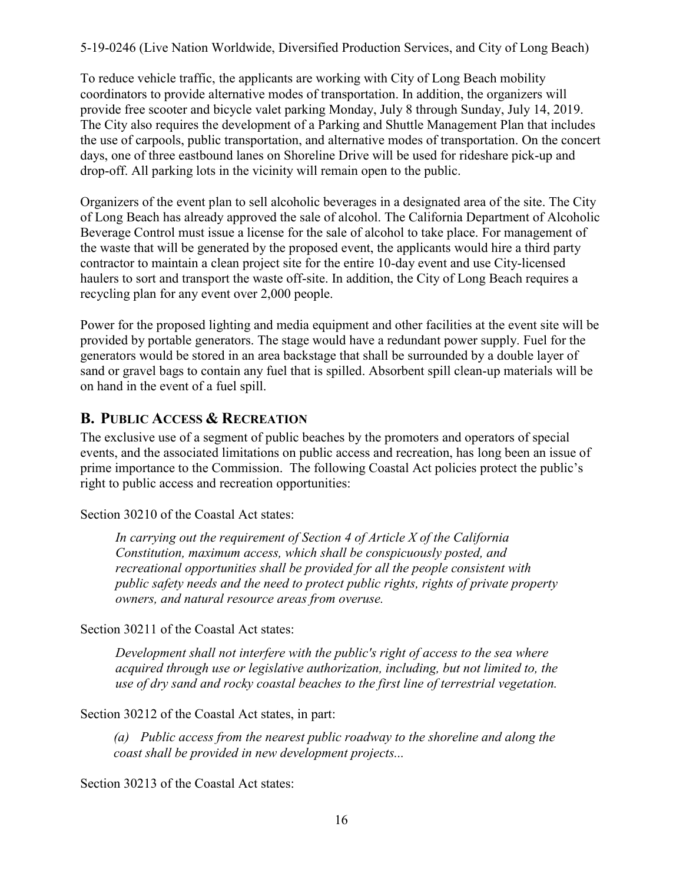To reduce vehicle traffic, the applicants are working with City of Long Beach mobility coordinators to provide alternative modes of transportation. In addition, the organizers will provide free scooter and bicycle valet parking Monday, July 8 through Sunday, July 14, 2019. The City also requires the development of a Parking and Shuttle Management Plan that includes the use of carpools, public transportation, and alternative modes of transportation. On the concert days, one of three eastbound lanes on Shoreline Drive will be used for rideshare pick-up and drop-off. All parking lots in the vicinity will remain open to the public.

Organizers of the event plan to sell alcoholic beverages in a designated area of the site. The City of Long Beach has already approved the sale of alcohol. The California Department of Alcoholic Beverage Control must issue a license for the sale of alcohol to take place. For management of the waste that will be generated by the proposed event, the applicants would hire a third party contractor to maintain a clean project site for the entire 10-day event and use City-licensed haulers to sort and transport the waste off-site. In addition, the City of Long Beach requires a recycling plan for any event over 2,000 people.

Power for the proposed lighting and media equipment and other facilities at the event site will be provided by portable generators. The stage would have a redundant power supply. Fuel for the generators would be stored in an area backstage that shall be surrounded by a double layer of sand or gravel bags to contain any fuel that is spilled. Absorbent spill clean-up materials will be on hand in the event of a fuel spill.

## <span id="page-15-0"></span>**B. PUBLIC ACCESS & RECREATION**

The exclusive use of a segment of public beaches by the promoters and operators of special events, and the associated limitations on public access and recreation, has long been an issue of prime importance to the Commission. The following Coastal Act policies protect the public's right to public access and recreation opportunities:

Section 30210 of the Coastal Act states:

 *In carrying out the requirement of Section 4 of Article X of the California Constitution, maximum access, which shall be conspicuously posted, and recreational opportunities shall be provided for all the people consistent with public safety needs and the need to protect public rights, rights of private property owners, and natural resource areas from overuse.* 

Section 30211 of the Coastal Act states:

 *Development shall not interfere with the public's right of access to the sea where acquired through use or legislative authorization, including, but not limited to, the use of dry sand and rocky coastal beaches to the first line of terrestrial vegetation.* 

Section 30212 of the Coastal Act states, in part:

*(a) Public access from the nearest public roadway to the shoreline and along the coast shall be provided in new development projects...* 

Section 30213 of the Coastal Act states: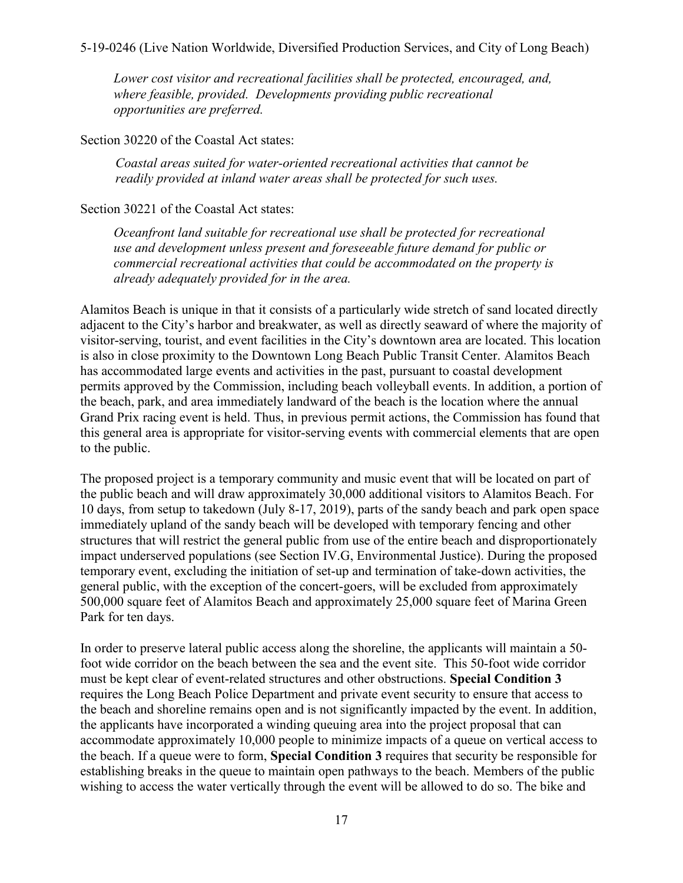*Lower cost visitor and recreational facilities shall be protected, encouraged, and, where feasible, provided. Developments providing public recreational opportunities are preferred.* 

Section 30220 of the Coastal Act states:

 *Coastal areas suited for water-oriented recreational activities that cannot be readily provided at inland water areas shall be protected for such uses.* 

#### Section 30221 of the Coastal Act states:

*Oceanfront land suitable for recreational use shall be protected for recreational use and development unless present and foreseeable future demand for public or commercial recreational activities that could be accommodated on the property is already adequately provided for in the area.* 

Alamitos Beach is unique in that it consists of a particularly wide stretch of sand located directly adjacent to the City's harbor and breakwater, as well as directly seaward of where the majority of visitor-serving, tourist, and event facilities in the City's downtown area are located. This location is also in close proximity to the Downtown Long Beach Public Transit Center. Alamitos Beach has accommodated large events and activities in the past, pursuant to coastal development permits approved by the Commission, including beach volleyball events. In addition, a portion of the beach, park, and area immediately landward of the beach is the location where the annual Grand Prix racing event is held. Thus, in previous permit actions, the Commission has found that this general area is appropriate for visitor-serving events with commercial elements that are open to the public.

The proposed project is a temporary community and music event that will be located on part of the public beach and will draw approximately 30,000 additional visitors to Alamitos Beach. For 10 days, from setup to takedown (July 8-17, 2019), parts of the sandy beach and park open space immediately upland of the sandy beach will be developed with temporary fencing and other structures that will restrict the general public from use of the entire beach and disproportionately impact underserved populations (see Section IV.G, Environmental Justice). During the proposed temporary event, excluding the initiation of set-up and termination of take-down activities, the general public, with the exception of the concert-goers, will be excluded from approximately 500,000 square feet of Alamitos Beach and approximately 25,000 square feet of Marina Green Park for ten days.

In order to preserve lateral public access along the shoreline, the applicants will maintain a 50 foot wide corridor on the beach between the sea and the event site. This 50-foot wide corridor must be kept clear of event-related structures and other obstructions. **Special Condition 3**  requires the Long Beach Police Department and private event security to ensure that access to the beach and shoreline remains open and is not significantly impacted by the event. In addition, the applicants have incorporated a winding queuing area into the project proposal that can accommodate approximately 10,000 people to minimize impacts of a queue on vertical access to the beach. If a queue were to form, **Special Condition 3** requires that security be responsible for establishing breaks in the queue to maintain open pathways to the beach. Members of the public wishing to access the water vertically through the event will be allowed to do so. The bike and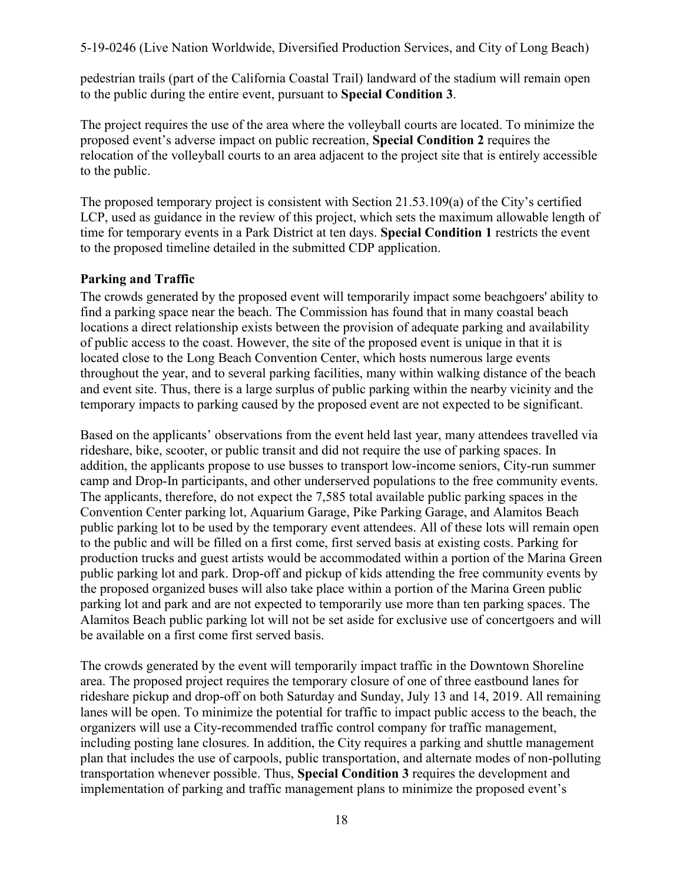pedestrian trails (part of the California Coastal Trail) landward of the stadium will remain open to the public during the entire event, pursuant to **Special Condition 3**.

The project requires the use of the area where the volleyball courts are located. To minimize the proposed event's adverse impact on public recreation, **Special Condition 2** requires the relocation of the volleyball courts to an area adjacent to the project site that is entirely accessible to the public.

The proposed temporary project is consistent with Section 21.53.109(a) of the City's certified LCP, used as guidance in the review of this project, which sets the maximum allowable length of time for temporary events in a Park District at ten days. **Special Condition 1** restricts the event to the proposed timeline detailed in the submitted CDP application.

#### **Parking and Traffic**

The crowds generated by the proposed event will temporarily impact some beachgoers' ability to find a parking space near the beach. The Commission has found that in many coastal beach locations a direct relationship exists between the provision of adequate parking and availability of public access to the coast. However, the site of the proposed event is unique in that it is located close to the Long Beach Convention Center, which hosts numerous large events throughout the year, and to several parking facilities, many within walking distance of the beach and event site. Thus, there is a large surplus of public parking within the nearby vicinity and the temporary impacts to parking caused by the proposed event are not expected to be significant.

Based on the applicants' observations from the event held last year, many attendees travelled via rideshare, bike, scooter, or public transit and did not require the use of parking spaces. In addition, the applicants propose to use busses to transport low-income seniors, City-run summer camp and Drop-In participants, and other underserved populations to the free community events. The applicants, therefore, do not expect the 7,585 total available public parking spaces in the Convention Center parking lot, Aquarium Garage, Pike Parking Garage, and Alamitos Beach public parking lot to be used by the temporary event attendees. All of these lots will remain open to the public and will be filled on a first come, first served basis at existing costs. Parking for production trucks and guest artists would be accommodated within a portion of the Marina Green public parking lot and park. Drop-off and pickup of kids attending the free community events by the proposed organized buses will also take place within a portion of the Marina Green public parking lot and park and are not expected to temporarily use more than ten parking spaces. The Alamitos Beach public parking lot will not be set aside for exclusive use of concertgoers and will be available on a first come first served basis.

The crowds generated by the event will temporarily impact traffic in the Downtown Shoreline area. The proposed project requires the temporary closure of one of three eastbound lanes for rideshare pickup and drop-off on both Saturday and Sunday, July 13 and 14, 2019. All remaining lanes will be open. To minimize the potential for traffic to impact public access to the beach, the organizers will use a City-recommended traffic control company for traffic management, including posting lane closures. In addition, the City requires a parking and shuttle management plan that includes the use of carpools, public transportation, and alternate modes of non-polluting transportation whenever possible. Thus, **[Special Condition 3](#page-6-1)** requires the development and implementation of parking and traffic management plans to minimize the proposed event's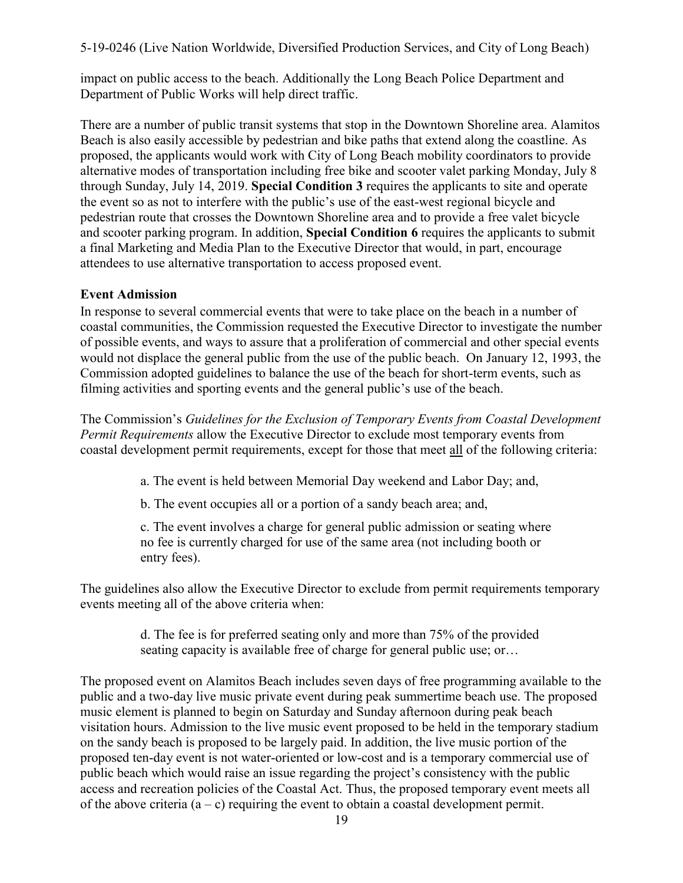impact on public access to the beach. Additionally the Long Beach Police Department and Department of Public Works will help direct traffic.

There are a number of public transit systems that stop in the Downtown Shoreline area. Alamitos Beach is also easily accessible by pedestrian and bike paths that extend along the coastline. As proposed, the applicants would work with City of Long Beach mobility coordinators to provide alternative modes of transportation including free bike and scooter valet parking Monday, July 8 through Sunday, July 14, 2019. **[Special Condition 3](#page-6-1)** requires the applicants to site and operate the event so as not to interfere with the public's use of the east-west regional bicycle and pedestrian route that crosses the Downtown Shoreline area and to provide a free valet bicycle and scooter parking program. In addition, **[Special Condition 6](#page-11-0)** requires the applicants to submit a final Marketing and Media Plan to the Executive Director that would, in part, encourage attendees to use alternative transportation to access proposed event.

#### **Event Admission**

In response to several commercial events that were to take place on the beach in a number of coastal communities, the Commission requested the Executive Director to investigate the number of possible events, and ways to assure that a proliferation of commercial and other special events would not displace the general public from the use of the public beach. On January 12, 1993, the Commission adopted guidelines to balance the use of the beach for short-term events, such as filming activities and sporting events and the general public's use of the beach.

The Commission's *Guidelines for the Exclusion of Temporary Events from Coastal Development Permit Requirements* allow the Executive Director to exclude most temporary events from coastal development permit requirements, except for those that meet all of the following criteria:

a. The event is held between Memorial Day weekend and Labor Day; and,

b. The event occupies all or a portion of a sandy beach area; and,

c. The event involves a charge for general public admission or seating where no fee is currently charged for use of the same area (not including booth or entry fees).

The guidelines also allow the Executive Director to exclude from permit requirements temporary events meeting all of the above criteria when:

> d. The fee is for preferred seating only and more than 75% of the provided seating capacity is available free of charge for general public use; or…

The proposed event on Alamitos Beach includes seven days of free programming available to the public and a two-day live music private event during peak summertime beach use. The proposed music element is planned to begin on Saturday and Sunday afternoon during peak beach visitation hours. Admission to the live music event proposed to be held in the temporary stadium on the sandy beach is proposed to be largely paid. In addition, the live music portion of the proposed ten-day event is not water-oriented or low-cost and is a temporary commercial use of public beach which would raise an issue regarding the project's consistency with the public access and recreation policies of the Coastal Act. Thus, the proposed temporary event meets all of the above criteria  $(a - c)$  requiring the event to obtain a coastal development permit.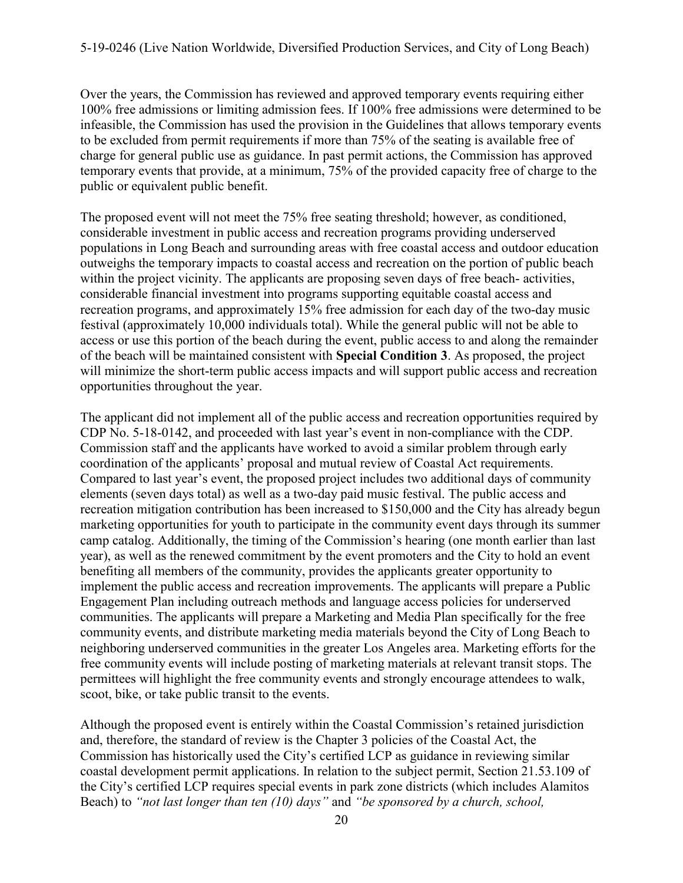Over the years, the Commission has reviewed and approved temporary events requiring either 100% free admissions or limiting admission fees. If 100% free admissions were determined to be infeasible, the Commission has used the provision in the Guidelines that allows temporary events to be excluded from permit requirements if more than 75% of the seating is available free of charge for general public use as guidance. In past permit actions, the Commission has approved temporary events that provide, at a minimum, 75% of the provided capacity free of charge to the public or equivalent public benefit.

The proposed event will not meet the 75% free seating threshold; however, as conditioned, considerable investment in public access and recreation programs providing underserved populations in Long Beach and surrounding areas with free coastal access and outdoor education outweighs the temporary impacts to coastal access and recreation on the portion of public beach within the project vicinity. The applicants are proposing seven days of free beach-activities, considerable financial investment into programs supporting equitable coastal access and recreation programs, and approximately 15% free admission for each day of the two-day music festival (approximately 10,000 individuals total). While the general public will not be able to access or use this portion of the beach during the event, public access to and along the remainder of the beach will be maintained consistent with **[Special Condition 3](#page-6-1)**. As proposed, the project will minimize the short-term public access impacts and will support public access and recreation opportunities throughout the year.

The applicant did not implement all of the public access and recreation opportunities required by CDP No. 5-18-0142, and proceeded with last year's event in non-compliance with the CDP. Commission staff and the applicants have worked to avoid a similar problem through early coordination of the applicants' proposal and mutual review of Coastal Act requirements. Compared to last year's event, the proposed project includes two additional days of community elements (seven days total) as well as a two-day paid music festival. The public access and recreation mitigation contribution has been increased to \$150,000 and the City has already begun marketing opportunities for youth to participate in the community event days through its summer camp catalog. Additionally, the timing of the Commission's hearing (one month earlier than last year), as well as the renewed commitment by the event promoters and the City to hold an event benefiting all members of the community, provides the applicants greater opportunity to implement the public access and recreation improvements. The applicants will prepare a Public Engagement Plan including outreach methods and language access policies for underserved communities. The applicants will prepare a Marketing and Media Plan specifically for the free community events, and distribute marketing media materials beyond the City of Long Beach to neighboring underserved communities in the greater Los Angeles area. Marketing efforts for the free community events will include posting of marketing materials at relevant transit stops. The permittees will highlight the free community events and strongly encourage attendees to walk, scoot, bike, or take public transit to the events.

Although the proposed event is entirely within the Coastal Commission's retained jurisdiction and, therefore, the standard of review is the Chapter 3 policies of the Coastal Act, the Commission has historically used the City's certified LCP as guidance in reviewing similar coastal development permit applications. In relation to the subject permit, Section 21.53.109 of the City's certified LCP requires special events in park zone districts (which includes Alamitos Beach) to *"not last longer than ten (10) days"* and *"be sponsored by a church, school,*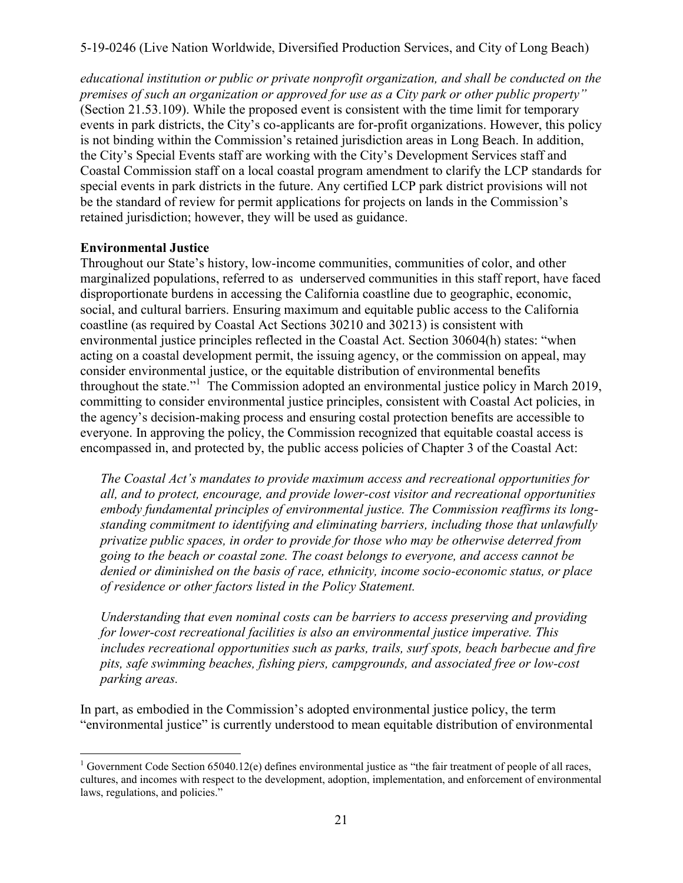*educational institution or public or private nonprofit organization, and shall be conducted on the premises of such an organization or approved for use as a City park or other public property"* (Section 21.53.109). While the proposed event is consistent with the time limit for temporary events in park districts, the City's co-applicants are for-profit organizations. However, this policy is not binding within the Commission's retained jurisdiction areas in Long Beach. In addition, the City's Special Events staff are working with the City's Development Services staff and Coastal Commission staff on a local coastal program amendment to clarify the LCP standards for special events in park districts in the future. Any certified LCP park district provisions will not be the standard of review for permit applications for projects on lands in the Commission's retained jurisdiction; however, they will be used as guidance.

#### **Environmental Justice**

Throughout our State's history, low-income communities, communities of color, and other marginalized populations, referred to as underserved communities in this staff report, have faced disproportionate burdens in accessing the California coastline due to geographic, economic, social, and cultural barriers. Ensuring maximum and equitable public access to the California coastline (as required by Coastal Act Sections 30210 and 30213) is consistent with environmental justice principles reflected in the Coastal Act. Section 30604(h) states: "when acting on a coastal development permit, the issuing agency, or the commission on appeal, may consider environmental justice, or the equitable distribution of environmental benefits throughout the state."<sup>1</sup> The Commission adopted an environmental justice policy in March 2019, committing to consider environmental justice principles, consistent with Coastal Act policies, in the agency's decision-making process and ensuring costal protection benefits are accessible to everyone. In approving the policy, the Commission recognized that equitable coastal access is encompassed in, and protected by, the public access policies of Chapter 3 of the Coastal Act:

*The Coastal Act's mandates to provide maximum access and recreational opportunities for all, and to protect, encourage, and provide lower-cost visitor and recreational opportunities embody fundamental principles of environmental justice. The Commission reaffirms its longstanding commitment to identifying and eliminating barriers, including those that unlawfully privatize public spaces, in order to provide for those who may be otherwise deterred from going to the beach or coastal zone. The coast belongs to everyone, and access cannot be denied or diminished on the basis of race, ethnicity, income socio-economic status, or place of residence or other factors listed in the Policy Statement.*

*Understanding that even nominal costs can be barriers to access preserving and providing for lower-cost recreational facilities is also an environmental justice imperative. This includes recreational opportunities such as parks, trails, surf spots, beach barbecue and fire pits, safe swimming beaches, fishing piers, campgrounds, and associated free or low-cost parking areas.*

In part, as embodied in the Commission's adopted environmental justice policy, the term "environmental justice" is currently understood to mean equitable distribution of environmental

 $\overline{a}$ <sup>1</sup> Government Code Section 65040.12(e) defines environmental justice as "the fair treatment of people of all races, cultures, and incomes with respect to the development, adoption, implementation, and enforcement of environmental laws, regulations, and policies."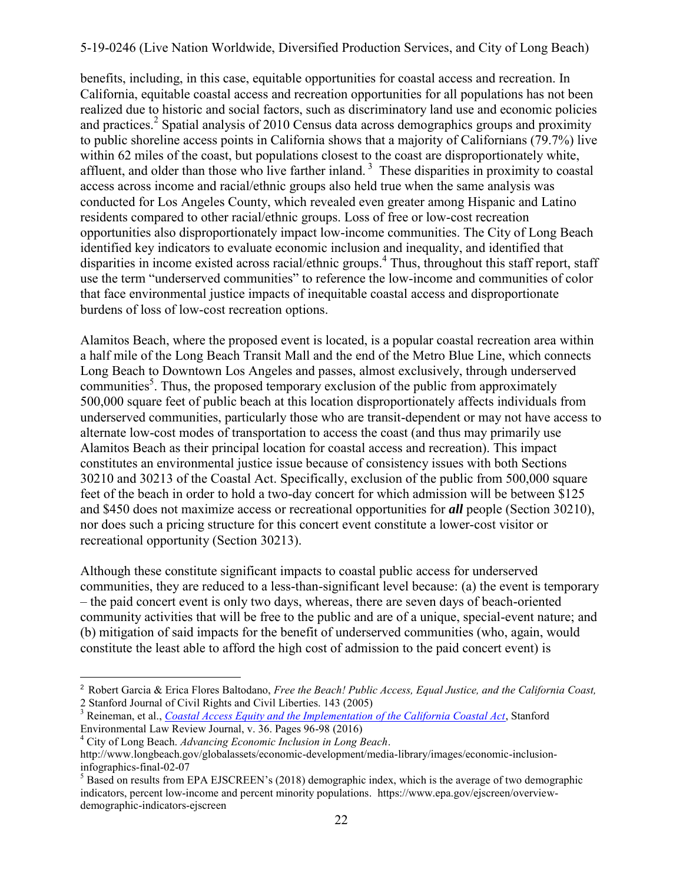benefits, including, in this case, equitable opportunities for coastal access and recreation. In California, equitable coastal access and recreation opportunities for all populations has not been realized due to historic and social factors, such as discriminatory land use and economic policies and practices.<sup>2</sup> Spatial analysis of 2010 Census data across demographics groups and proximity to public shoreline access points in California shows that a majority of Californians (79.7%) live within 62 miles of the coast, but populations closest to the coast are disproportionately white, affluent, and older than those who live farther inland.<sup>3</sup> These disparities in proximity to coastal access across income and racial/ethnic groups also held true when the same analysis was conducted for Los Angeles County, which revealed even greater among Hispanic and Latino residents compared to other racial/ethnic groups. Loss of free or low-cost recreation opportunities also disproportionately impact low-income communities. The City of Long Beach identified key indicators to evaluate economic inclusion and inequality, and identified that disparities in income existed across racial/ethnic groups.<sup>4</sup> Thus, throughout this staff report, staff use the term "underserved communities" to reference the low-income and communities of color that face environmental justice impacts of inequitable coastal access and disproportionate burdens of loss of low-cost recreation options.

Alamitos Beach, where the proposed event is located, is a popular coastal recreation area within a half mile of the Long Beach Transit Mall and the end of the Metro Blue Line, which connects Long Beach to Downtown Los Angeles and passes, almost exclusively, through underserved communities<sup>5</sup>. Thus, the proposed temporary exclusion of the public from approximately 500,000 square feet of public beach at this location disproportionately affects individuals from underserved communities, particularly those who are transit-dependent or may not have access to alternate low-cost modes of transportation to access the coast (and thus may primarily use Alamitos Beach as their principal location for coastal access and recreation). This impact constitutes an environmental justice issue because of consistency issues with both Sections 30210 and 30213 of the Coastal Act. Specifically, exclusion of the public from 500,000 square feet of the beach in order to hold a two-day concert for which admission will be between \$125 and \$450 does not maximize access or recreational opportunities for *all* people (Section 30210), nor does such a pricing structure for this concert event constitute a lower-cost visitor or recreational opportunity (Section 30213).

Although these constitute significant impacts to coastal public access for underserved communities, they are reduced to a less-than-significant level because: (a) the event is temporary – the paid concert event is only two days, whereas, there are seven days of beach-oriented community activities that will be free to the public and are of a unique, special-event nature; and (b) mitigation of said impacts for the benefit of underserved communities (who, again, would constitute the least able to afford the high cost of admission to the paid concert event) is

 $\overline{a}$ 

<sup>2</sup> Robert Garcia & Erica Flores Baltodano, *Free the Beach! Public Access, Equal Justice, and the California Coast,*  2 Stanford Journal of Civil Rights and Civil Liberties. 143 (2005)

<sup>&</sup>lt;sup>3</sup> Reineman, et al., *[Coastal Access Equity and the Implementation of the California Coastal Act](https://journals.law.stanford.edu/stanford-environmental-law-journal-elj/current-issue)*, Stanford Environmental Law Review Journal, v. 36. Pages 96-98 (2016)

<sup>4</sup> City of Long Beach. *Advancing Economic Inclusion in Long Beach*. http://www.longbeach.gov/globalassets/economic-development/media-library/images/economic-inclusioninfographics-final-02-07

 $<sup>5</sup>$  Based on results from EPA EJSCREEN's (2018) demographic index, which is the average of two demographic</sup> indicators, percent low-income and percent minority populations. https://www.epa.gov/ejscreen/overviewdemographic-indicators-ejscreen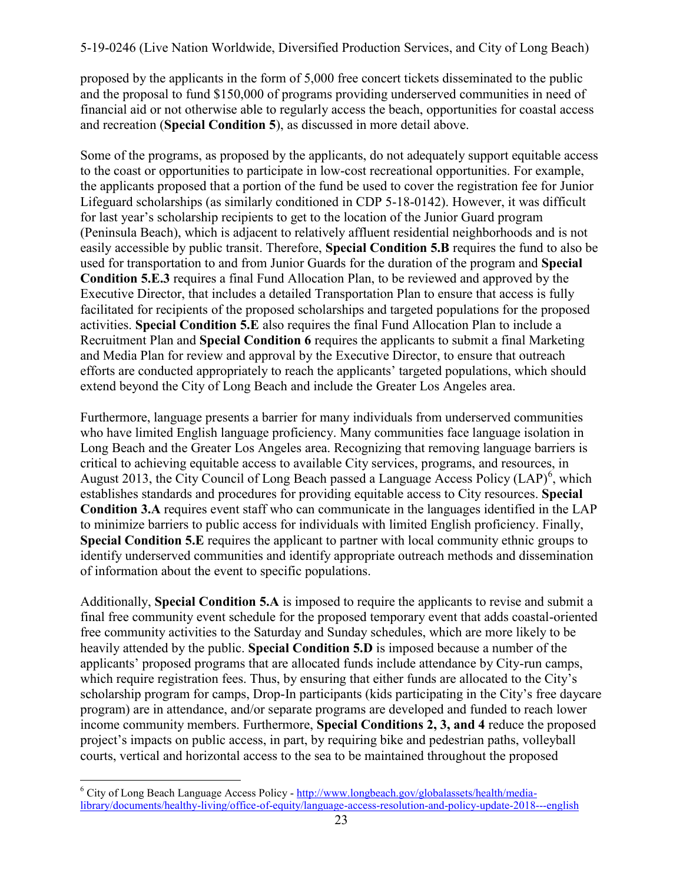proposed by the applicants in the form of 5,000 free concert tickets disseminated to the public and the proposal to fund \$150,000 of programs providing underserved communities in need of financial aid or not otherwise able to regularly access the beach, opportunities for coastal access and recreation (**[Special Condition 5](#page-8-0)**), as discussed in more detail above.

Some of the programs, as proposed by the applicants, do not adequately support equitable access to the coast or opportunities to participate in low-cost recreational opportunities. For example, the applicants proposed that a portion of the fund be used to cover the registration fee for Junior Lifeguard scholarships (as similarly conditioned in CDP 5-18-0142). However, it was difficult for last year's scholarship recipients to get to the location of the Junior Guard program (Peninsula Beach), which is adjacent to relatively affluent residential neighborhoods and is not easily accessible by public transit. Therefore, **[Special Condition 5.B](#page-8-0)** requires the fund to also be [used for transportation to and from Junior Guards for the duration of the program and](#page-9-0) **Special Condition 5.E.3** requires a final Fund Allocation Plan, to be reviewed and approved by the Executive Director, that includes a detailed Transportation Plan to ensure that access is fully facilitated for recipients of the proposed scholarships and targeted populations for the proposed activities. **[Special Condition 5.E](#page-9-0)** also requires the final Fund Allocation Plan to include a Recruitment Plan and **[Special Condition 6](#page-11-0)** requires the applicants to submit a final Marketing and Media Plan for review and approval by the Executive Director, to ensure that outreach efforts are conducted appropriately to reach the applicants' targeted populations, which should extend beyond the City of Long Beach and include the Greater Los Angeles area.

Furthermore, language presents a barrier for many individuals from underserved communities who have limited English language proficiency. Many communities face language isolation in Long Beach and the Greater Los Angeles area. Recognizing that removing language barriers is critical to achieving equitable access to available City services, programs, and resources, in August 2013, the City Council of Long Beach passed a Language Access Policy  $(LAP)^6$ , which [establishes standards and procedures for providing equitable access to City resources.](#page-6-1) **Special Condition 3.A** requires event staff who can communicate in the languages identified in the LAP to minimize barriers to public access for individuals with limited English proficiency. Finally, **[Special Condition 5.E](#page-8-0)** requires the applicant to partner with local community ethnic groups to identify underserved communities and identify appropriate outreach methods and dissemination of information about the event to specific populations.

Additionally, **[Special Condition 5.A](#page-9-0)** is imposed to require the applicants to revise and submit a final free community event schedule for the proposed temporary event that adds coastal-oriented free community activities to the Saturday and Sunday schedules, which are more likely to be heavily attended by the public. **[Special Condition 5.D](#page-9-0)** is imposed because a number of the applicants' proposed programs that are allocated funds include attendance by City-run camps, which require registration fees. Thus, by ensuring that either funds are allocated to the City's scholarship program for camps, Drop-In participants (kids participating in the City's free daycare program) are in attendance, and/or separate programs are developed and funded to reach lower income community members. Furthermore, **[Special Conditions 2, 3, and 4](#page-6-1)** reduce the proposed project's impacts on public access, in part, by requiring bike and pedestrian paths, volleyball courts, vertical and horizontal access to the sea to be maintained throughout the proposed

 $\overline{a}$ 

<sup>&</sup>lt;sup>6</sup> City of Long Beach Language Access Policy - [http://www.longbeach.gov/globalassets/health/media](http://www.longbeach.gov/globalassets/health/media-library/documents/healthy-living/office-of-equity/language-access-resolution-and-policy-update-2018---english)[library/documents/healthy-living/office-of-equity/language-access-resolution-and-policy-update-2018---english](http://www.longbeach.gov/globalassets/health/media-library/documents/healthy-living/office-of-equity/language-access-resolution-and-policy-update-2018---english)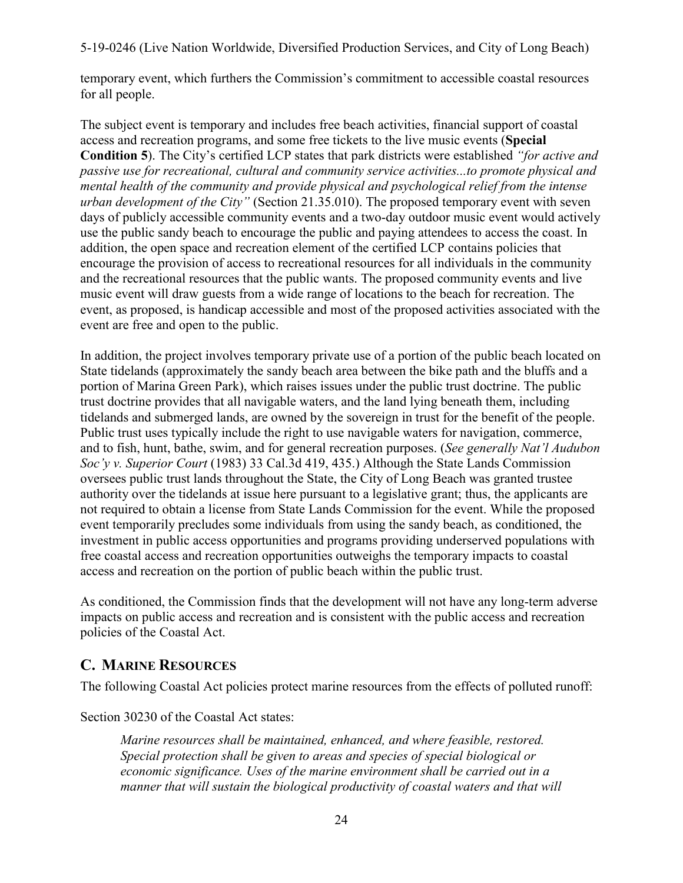temporary event, which furthers the Commission's commitment to accessible coastal resources for all people.

The subject event is temporary and includes free beach activities, financial support of coastal [access and recreation programs, and some free tickets to the live music events \(](#page-8-0)**Special Condition 5**). The City's certified LCP states that park districts were established *"for active and passive use for recreational, cultural and community service activities...to promote physical and mental health of the community and provide physical and psychological relief from the intense urban development of the City"* (Section 21.35.010). The proposed temporary event with seven days of publicly accessible community events and a two-day outdoor music event would actively use the public sandy beach to encourage the public and paying attendees to access the coast. In addition, the open space and recreation element of the certified LCP contains policies that encourage the provision of access to recreational resources for all individuals in the community and the recreational resources that the public wants. The proposed community events and live music event will draw guests from a wide range of locations to the beach for recreation. The event, as proposed, is handicap accessible and most of the proposed activities associated with the event are free and open to the public.

In addition, the project involves temporary private use of a portion of the public beach located on State tidelands (approximately the sandy beach area between the bike path and the bluffs and a portion of Marina Green Park), which raises issues under the public trust doctrine. The public trust doctrine provides that all navigable waters, and the land lying beneath them, including tidelands and submerged lands, are owned by the sovereign in trust for the benefit of the people. Public trust uses typically include the right to use navigable waters for navigation, commerce, and to fish, hunt, bathe, swim, and for general recreation purposes. (*See generally Nat'l Audubon Soc'y v. Superior Court* (1983) 33 Cal.3d 419, 435.) Although the State Lands Commission oversees public trust lands throughout the State, the City of Long Beach was granted trustee authority over the tidelands at issue here pursuant to a legislative grant; thus, the applicants are not required to obtain a license from State Lands Commission for the event. While the proposed event temporarily precludes some individuals from using the sandy beach, as conditioned, the investment in public access opportunities and programs providing underserved populations with free coastal access and recreation opportunities outweighs the temporary impacts to coastal access and recreation on the portion of public beach within the public trust.

As conditioned, the Commission finds that the development will not have any long-term adverse impacts on public access and recreation and is consistent with the public access and recreation policies of the Coastal Act.

## <span id="page-23-0"></span>**C. MARINE RESOURCES**

The following Coastal Act policies protect marine resources from the effects of polluted runoff:

Section 30230 of the Coastal Act states:

*Marine resources shall be maintained, enhanced, and where feasible, restored. Special protection shall be given to areas and species of special biological or economic significance. Uses of the marine environment shall be carried out in a manner that will sustain the biological productivity of coastal waters and that will*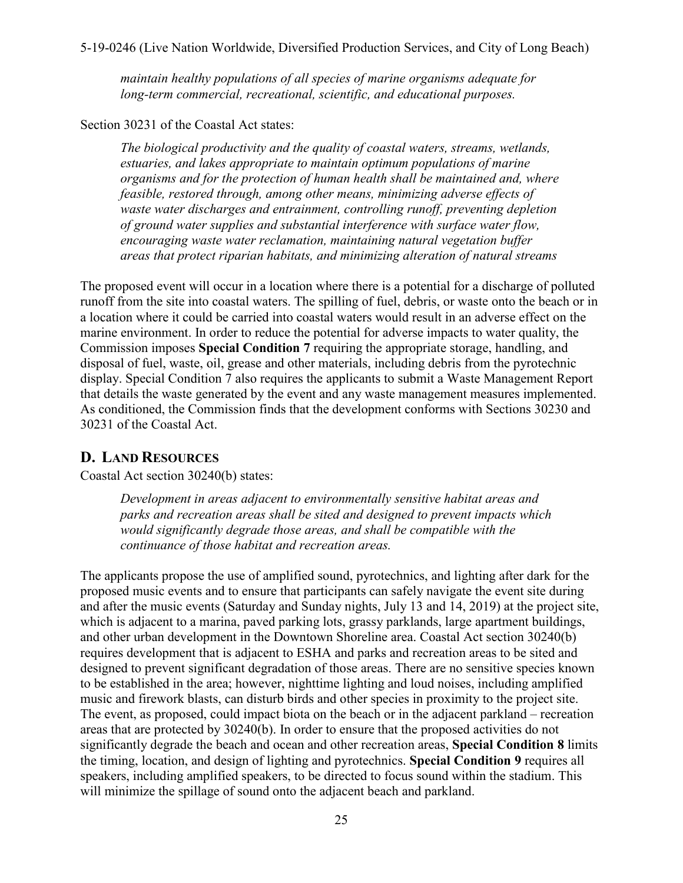*maintain healthy populations of all species of marine organisms adequate for long-term commercial, recreational, scientific, and educational purposes.* 

Section 30231 of the Coastal Act states:

*The biological productivity and the quality of coastal waters, streams, wetlands, estuaries, and lakes appropriate to maintain optimum populations of marine organisms and for the protection of human health shall be maintained and, where feasible, restored through, among other means, minimizing adverse effects of waste water discharges and entrainment, controlling runoff, preventing depletion of ground water supplies and substantial interference with surface water flow, encouraging waste water reclamation, maintaining natural vegetation buffer areas that protect riparian habitats, and minimizing alteration of natural streams* 

The proposed event will occur in a location where there is a potential for a discharge of polluted runoff from the site into coastal waters. The spilling of fuel, debris, or waste onto the beach or in a location where it could be carried into coastal waters would result in an adverse effect on the marine environment. In order to reduce the potential for adverse impacts to water quality, the Commission imposes **[Special Condition 7](#page-11-0)** requiring the appropriate storage, handling, and disposal of fuel, waste, oil, grease and other materials, including debris from the pyrotechnic display. Special Condition 7 also requires the applicants to submit a Waste Management Report that details the waste generated by the event and any waste management measures implemented. As conditioned, the Commission finds that the development conforms with Sections 30230 and 30231 of the Coastal Act.

## <span id="page-24-0"></span>**D. LAND RESOURCES**

Coastal Act section 30240(b) states:

*Development in areas adjacent to environmentally sensitive habitat areas and parks and recreation areas shall be sited and designed to prevent impacts which would significantly degrade those areas, and shall be compatible with the continuance of those habitat and recreation areas.* 

The applicants propose the use of amplified sound, pyrotechnics, and lighting after dark for the proposed music events and to ensure that participants can safely navigate the event site during and after the music events (Saturday and Sunday nights, July 13 and 14, 2019) at the project site, which is adjacent to a marina, paved parking lots, grassy parklands, large apartment buildings, and other urban development in the Downtown Shoreline area. Coastal Act section 30240(b) requires development that is adjacent to ESHA and parks and recreation areas to be sited and designed to prevent significant degradation of those areas. There are no sensitive species known to be established in the area; however, nighttime lighting and loud noises, including amplified music and firework blasts, can disturb birds and other species in proximity to the project site. The event, as proposed, could impact biota on the beach or in the adjacent parkland – recreation areas that are protected by 30240(b). In order to ensure that the proposed activities do not significantly degrade the beach and ocean and other recreation areas, **[Special Condition 8](#page-11-0)** limits the timing, location, and design of lighting and pyrotechnics. **[Special Condition 9](#page-12-2)** requires all speakers, including amplified speakers, to be directed to focus sound within the stadium. This will minimize the spillage of sound onto the adjacent beach and parkland.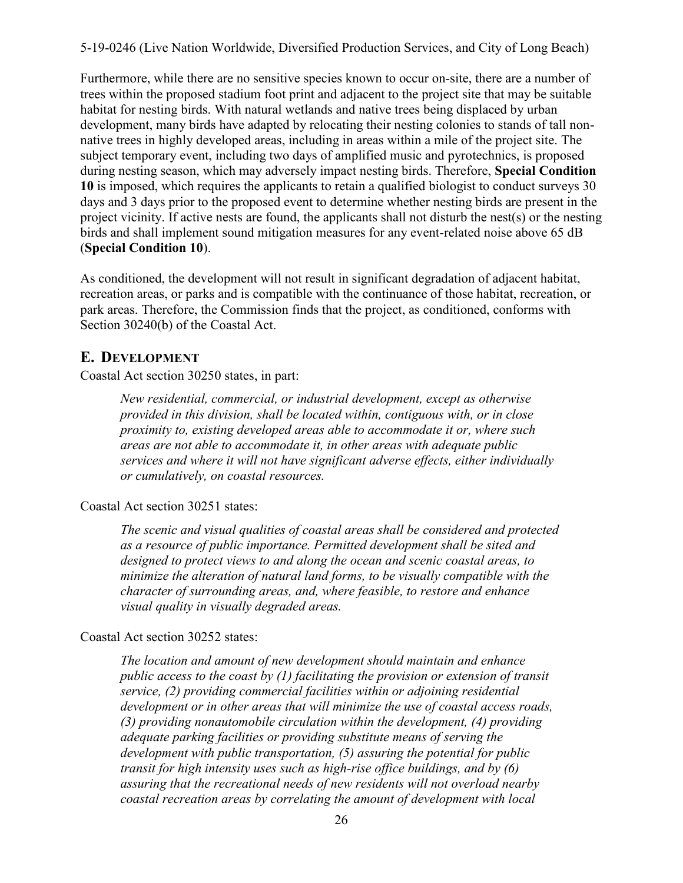Furthermore, while there are no sensitive species known to occur on-site, there are a number of trees within the proposed stadium foot print and adjacent to the project site that may be suitable habitat for nesting birds. With natural wetlands and native trees being displaced by urban development, many birds have adapted by relocating their nesting colonies to stands of tall nonnative trees in highly developed areas, including in areas within a mile of the project site. The subject temporary event, including two days of amplified music and pyrotechnics, is proposed during nesting season, which may adversely impact nesting birds. Therefore, **Special Condition 10** [is imposed, which requires the applicants to retain a qualified biologist to conduct surveys 30](#page-12-2)  days and 3 days prior to the proposed event to determine whether nesting birds are present in the project vicinity. If active nests are found, the applicants shall not disturb the nest(s) or the nesting birds and shall implement sound mitigation measures for any event-related noise above 65 dB (**[Special Condition 10](#page-12-2)**).

As conditioned, the development will not result in significant degradation of adjacent habitat, recreation areas, or parks and is compatible with the continuance of those habitat, recreation, or park areas. Therefore, the Commission finds that the project, as conditioned, conforms with Section 30240(b) of the Coastal Act.

### <span id="page-25-0"></span>**E. DEVELOPMENT**

Coastal Act section 30250 states, in part:

*New residential, commercial, or industrial development, except as otherwise provided in this division, shall be located within, contiguous with, or in close proximity to, existing developed areas able to accommodate it or, where such areas are not able to accommodate it, in other areas with adequate public services and where it will not have significant adverse effects, either individually or cumulatively, on coastal resources.* 

#### Coastal Act section 30251 states:

*The scenic and visual qualities of coastal areas shall be considered and protected as a resource of public importance. Permitted development shall be sited and designed to protect views to and along the ocean and scenic coastal areas, to minimize the alteration of natural land forms, to be visually compatible with the character of surrounding areas, and, where feasible, to restore and enhance visual quality in visually degraded areas.* 

#### Coastal Act section 30252 states:

*The location and amount of new development should maintain and enhance public access to the coast by (1) facilitating the provision or extension of transit service, (2) providing commercial facilities within or adjoining residential development or in other areas that will minimize the use of coastal access roads, (3) providing nonautomobile circulation within the development, (4) providing adequate parking facilities or providing substitute means of serving the development with public transportation, (5) assuring the potential for public transit for high intensity uses such as high-rise office buildings, and by (6) assuring that the recreational needs of new residents will not overload nearby coastal recreation areas by correlating the amount of development with local*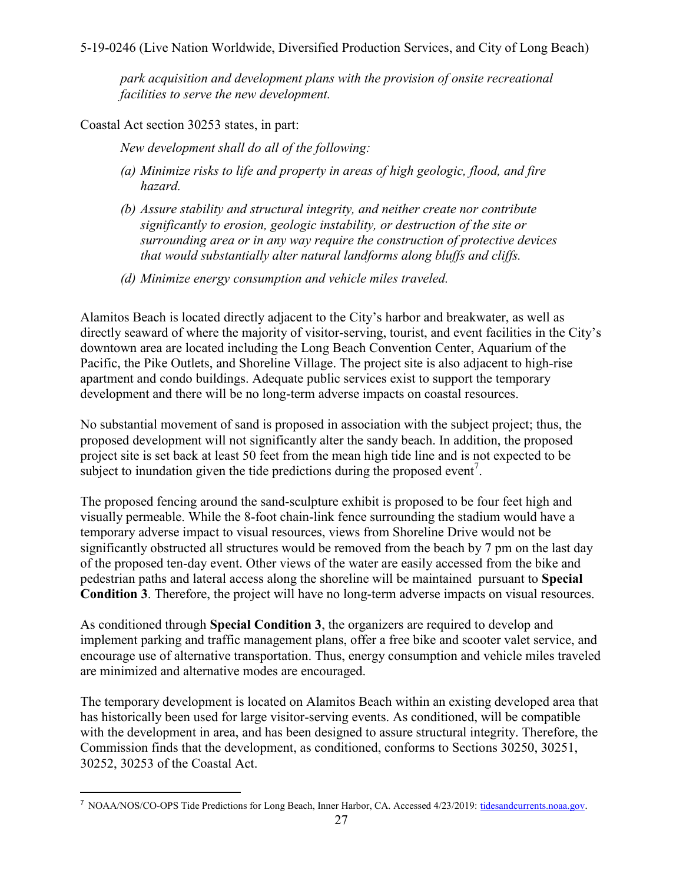*park acquisition and development plans with the provision of onsite recreational facilities to serve the new development.* 

Coastal Act section 30253 states, in part:

 $\overline{a}$ 

*New development shall do all of the following:* 

- *(a) Minimize risks to life and property in areas of high geologic, flood, and fire hazard.*
- *(b) Assure stability and structural integrity, and neither create nor contribute significantly to erosion, geologic instability, or destruction of the site or surrounding area or in any way require the construction of protective devices that would substantially alter natural landforms along bluffs and cliffs.*
- *(d) Minimize energy consumption and vehicle miles traveled.*

Alamitos Beach is located directly adjacent to the City's harbor and breakwater, as well as directly seaward of where the majority of visitor-serving, tourist, and event facilities in the City's downtown area are located including the Long Beach Convention Center, Aquarium of the Pacific, the Pike Outlets, and Shoreline Village. The project site is also adjacent to high-rise apartment and condo buildings. Adequate public services exist to support the temporary development and there will be no long-term adverse impacts on coastal resources.

No substantial movement of sand is proposed in association with the subject project; thus, the proposed development will not significantly alter the sandy beach. In addition, the proposed project site is set back at least 50 feet from the mean high tide line and is not expected to be subject to inundation given the tide predictions during the proposed event<sup>7</sup>.

The proposed fencing around the sand-sculpture exhibit is proposed to be four feet high and visually permeable. While the 8-foot chain-link fence surrounding the stadium would have a temporary adverse impact to visual resources, views from Shoreline Drive would not be significantly obstructed all structures would be removed from the beach by 7 pm on the last day of the proposed ten-day event. Other views of the water are easily accessed from the bike and [pedestrian paths and lateral access along the shoreline will be maintained pursuant to](#page-6-1) **Special Condition 3**. Therefore, the project will have no long-term adverse impacts on visual resources.

As conditioned through **[Special Condition 3](#page-6-1)**, the organizers are required to develop and implement parking and traffic management plans, offer a free bike and scooter valet service, and encourage use of alternative transportation. Thus, energy consumption and vehicle miles traveled are minimized and alternative modes are encouraged.

The temporary development is located on Alamitos Beach within an existing developed area that has historically been used for large visitor-serving events. As conditioned, will be compatible with the development in area, and has been designed to assure structural integrity. Therefore, the Commission finds that the development, as conditioned, conforms to Sections 30250, 30251, 30252, 30253 of the Coastal Act.

<sup>7</sup> NOAA/NOS/CO-OPS Tide Predictions for Long Beach, Inner Harbor, CA. Accessed 4/23/2019[: tidesandcurrents.noaa.gov](https://tidesandcurrents.noaa.gov/noaatidepredictions.html?id=9410680&units=standard&bdate=20180715&edate=20180724&timezone=LST/LDT&clock=12hour&datum=MHHW&interval=hilo&action=dailychart).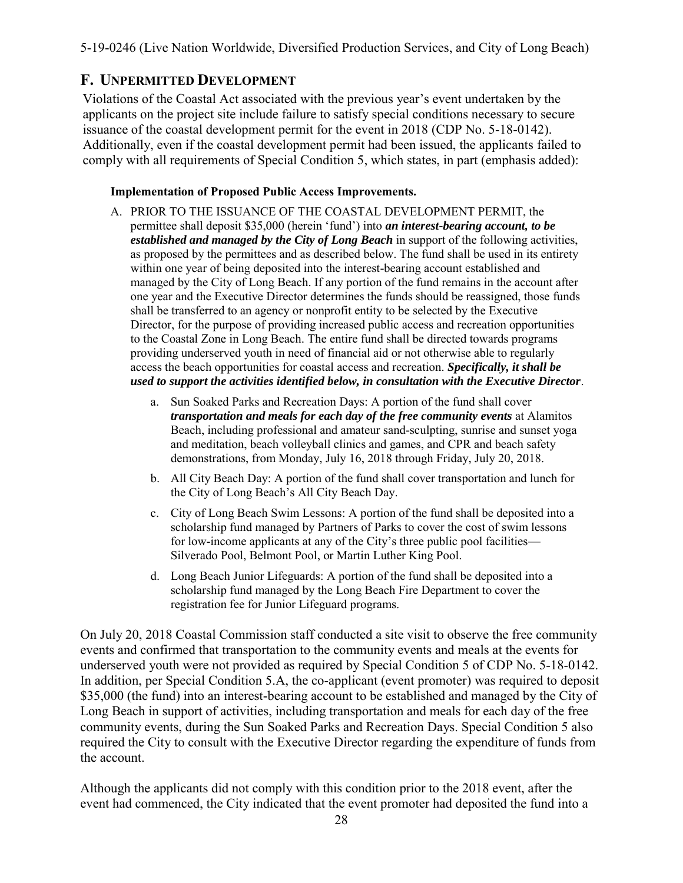## <span id="page-27-0"></span>**F. UNPERMITTED DEVELOPMENT**

Violations of the Coastal Act associated with the previous year's event undertaken by the applicants on the project site include failure to satisfy special conditions necessary to secure issuance of the coastal development permit for the event in 2018 (CDP No. 5-18-0142). Additionally, even if the coastal development permit had been issued, the applicants failed to comply with all requirements of Special Condition 5, which states, in part (emphasis added):

#### **Implementation of Proposed Public Access Improvements.**

- A. PRIOR TO THE ISSUANCE OF THE COASTAL DEVELOPMENT PERMIT, the permittee shall deposit \$35,000 (herein 'fund') into *an interest-bearing account, to be established and managed by the City of Long Beach* in support of the following activities, as proposed by the permittees and as described below. The fund shall be used in its entirety within one year of being deposited into the interest-bearing account established and managed by the City of Long Beach. If any portion of the fund remains in the account after one year and the Executive Director determines the funds should be reassigned, those funds shall be transferred to an agency or nonprofit entity to be selected by the Executive Director, for the purpose of providing increased public access and recreation opportunities to the Coastal Zone in Long Beach. The entire fund shall be directed towards programs providing underserved youth in need of financial aid or not otherwise able to regularly access the beach opportunities for coastal access and recreation. *Specifically, it shall be used to support the activities identified below, in consultation with the Executive Director*.
	- a. Sun Soaked Parks and Recreation Days: A portion of the fund shall cover *transportation and meals for each day of the free community events* at Alamitos Beach, including professional and amateur sand-sculpting, sunrise and sunset yoga and meditation, beach volleyball clinics and games, and CPR and beach safety demonstrations, from Monday, July 16, 2018 through Friday, July 20, 2018.
	- b. All City Beach Day: A portion of the fund shall cover transportation and lunch for the City of Long Beach's All City Beach Day.
	- c. City of Long Beach Swim Lessons: A portion of the fund shall be deposited into a scholarship fund managed by Partners of Parks to cover the cost of swim lessons for low-income applicants at any of the City's three public pool facilities— Silverado Pool, Belmont Pool, or Martin Luther King Pool.
	- d. Long Beach Junior Lifeguards: A portion of the fund shall be deposited into a scholarship fund managed by the Long Beach Fire Department to cover the registration fee for Junior Lifeguard programs.

On July 20, 2018 Coastal Commission staff conducted a site visit to observe the free community events and confirmed that transportation to the community events and meals at the events for underserved youth were not provided as required by Special Condition 5 of CDP No. 5-18-0142. In addition, per Special Condition 5.A, the co-applicant (event promoter) was required to deposit \$35,000 (the fund) into an interest-bearing account to be established and managed by the City of Long Beach in support of activities, including transportation and meals for each day of the free community events, during the Sun Soaked Parks and Recreation Days. Special Condition 5 also required the City to consult with the Executive Director regarding the expenditure of funds from the account.

Although the applicants did not comply with this condition prior to the 2018 event, after the event had commenced, the City indicated that the event promoter had deposited the fund into a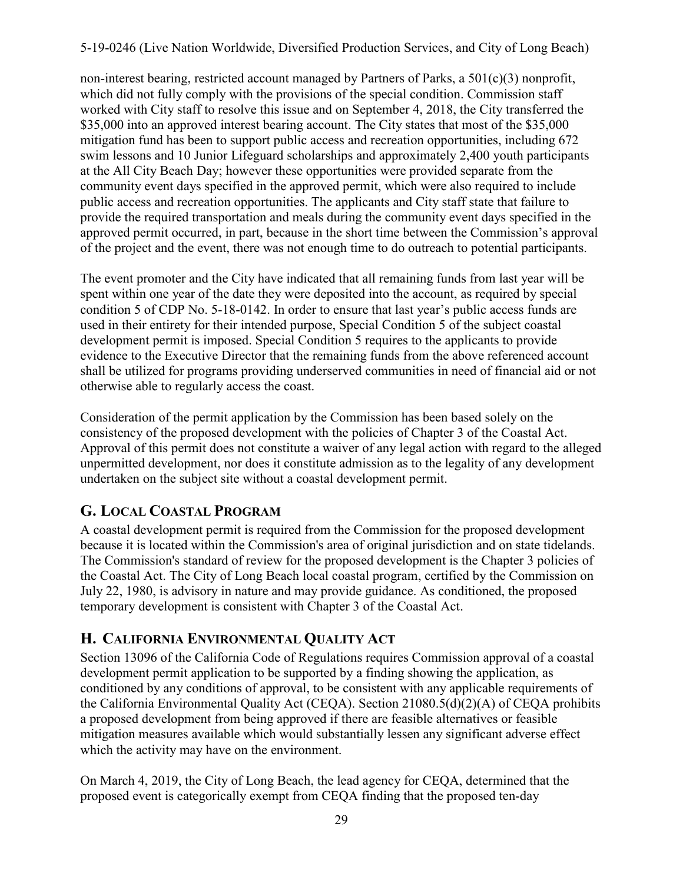non-interest bearing, restricted account managed by Partners of Parks, a  $501(c)(3)$  nonprofit, which did not fully comply with the provisions of the special condition. Commission staff worked with City staff to resolve this issue and on September 4, 2018, the City transferred the \$35,000 into an approved interest bearing account. The City states that most of the \$35,000 mitigation fund has been to support public access and recreation opportunities, including 672 swim lessons and 10 Junior Lifeguard scholarships and approximately 2,400 youth participants at the All City Beach Day; however these opportunities were provided separate from the community event days specified in the approved permit, which were also required to include public access and recreation opportunities. The applicants and City staff state that failure to provide the required transportation and meals during the community event days specified in the approved permit occurred, in part, because in the short time between the Commission's approval of the project and the event, there was not enough time to do outreach to potential participants.

The event promoter and the City have indicated that all remaining funds from last year will be spent within one year of the date they were deposited into the account, as required by special condition 5 of CDP No. 5-18-0142. In order to ensure that last year's public access funds are used in their entirety for their intended purpose, [Special Condition 5](#page-8-0) of the subject coastal development permit is imposed. Special Condition 5 requires to the applicants to provide evidence to the Executive Director that the remaining funds from the above referenced account shall be utilized for programs providing underserved communities in need of financial aid or not otherwise able to regularly access the coast.

Consideration of the permit application by the Commission has been based solely on the consistency of the proposed development with the policies of Chapter 3 of the Coastal Act. Approval of this permit does not constitute a waiver of any legal action with regard to the alleged unpermitted development, nor does it constitute admission as to the legality of any development undertaken on the subject site without a coastal development permit.

# <span id="page-28-0"></span>**G. LOCAL COASTAL PROGRAM**

A coastal development permit is required from the Commission for the proposed development because it is located within the Commission's area of original jurisdiction and on state tidelands. The Commission's standard of review for the proposed development is the Chapter 3 policies of the Coastal Act. The City of Long Beach local coastal program, certified by the Commission on July 22, 1980, is advisory in nature and may provide guidance. As conditioned, the proposed temporary development is consistent with Chapter 3 of the Coastal Act.

## <span id="page-28-1"></span>**H. CALIFORNIA ENVIRONMENTAL QUALITY ACT**

Section 13096 of the California Code of Regulations requires Commission approval of a coastal development permit application to be supported by a finding showing the application, as conditioned by any conditions of approval, to be consistent with any applicable requirements of the California Environmental Quality Act (CEQA). Section 21080.5(d)(2)(A) of CEQA prohibits a proposed development from being approved if there are feasible alternatives or feasible mitigation measures available which would substantially lessen any significant adverse effect which the activity may have on the environment.

On March 4, 2019, the City of Long Beach, the lead agency for CEQA, determined that the proposed event is categorically exempt from CEQA finding that the proposed ten-day